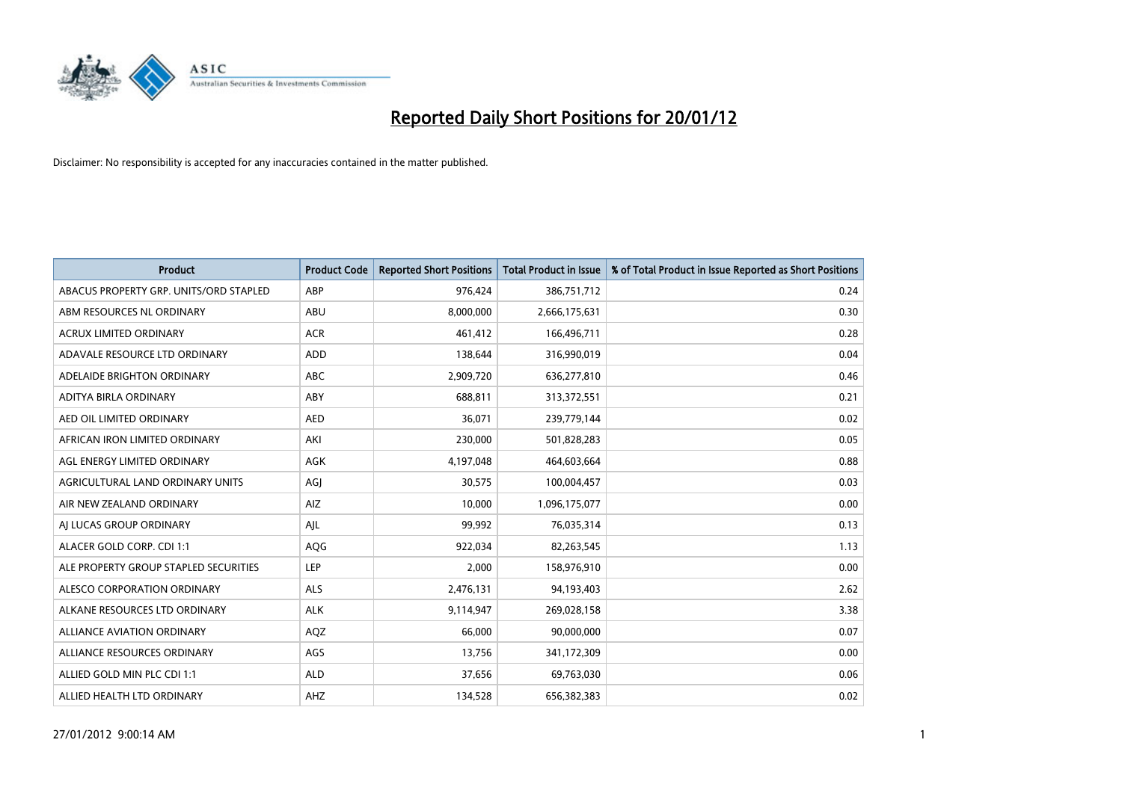

| <b>Product</b>                         | <b>Product Code</b> | <b>Reported Short Positions</b> | <b>Total Product in Issue</b> | % of Total Product in Issue Reported as Short Positions |
|----------------------------------------|---------------------|---------------------------------|-------------------------------|---------------------------------------------------------|
| ABACUS PROPERTY GRP. UNITS/ORD STAPLED | ABP                 | 976,424                         | 386,751,712                   | 0.24                                                    |
| ABM RESOURCES NL ORDINARY              | ABU                 | 8,000,000                       | 2,666,175,631                 | 0.30                                                    |
| <b>ACRUX LIMITED ORDINARY</b>          | <b>ACR</b>          | 461,412                         | 166,496,711                   | 0.28                                                    |
| ADAVALE RESOURCE LTD ORDINARY          | ADD                 | 138,644                         | 316,990,019                   | 0.04                                                    |
| ADELAIDE BRIGHTON ORDINARY             | <b>ABC</b>          | 2,909,720                       | 636,277,810                   | 0.46                                                    |
| ADITYA BIRLA ORDINARY                  | ABY                 | 688,811                         | 313,372,551                   | 0.21                                                    |
| AED OIL LIMITED ORDINARY               | <b>AED</b>          | 36.071                          | 239,779,144                   | 0.02                                                    |
| AFRICAN IRON LIMITED ORDINARY          | AKI                 | 230,000                         | 501,828,283                   | 0.05                                                    |
| AGL ENERGY LIMITED ORDINARY            | AGK                 | 4,197,048                       | 464,603,664                   | 0.88                                                    |
| AGRICULTURAL LAND ORDINARY UNITS       | AGJ                 | 30,575                          | 100,004,457                   | 0.03                                                    |
| AIR NEW ZEALAND ORDINARY               | <b>AIZ</b>          | 10,000                          | 1,096,175,077                 | 0.00                                                    |
| AI LUCAS GROUP ORDINARY                | AJL                 | 99,992                          | 76,035,314                    | 0.13                                                    |
| ALACER GOLD CORP. CDI 1:1              | AQG                 | 922,034                         | 82,263,545                    | 1.13                                                    |
| ALE PROPERTY GROUP STAPLED SECURITIES  | LEP                 | 2,000                           | 158,976,910                   | 0.00                                                    |
| ALESCO CORPORATION ORDINARY            | <b>ALS</b>          | 2,476,131                       | 94,193,403                    | 2.62                                                    |
| ALKANE RESOURCES LTD ORDINARY          | <b>ALK</b>          | 9,114,947                       | 269,028,158                   | 3.38                                                    |
| <b>ALLIANCE AVIATION ORDINARY</b>      | AQZ                 | 66,000                          | 90,000,000                    | 0.07                                                    |
| ALLIANCE RESOURCES ORDINARY            | <b>AGS</b>          | 13,756                          | 341,172,309                   | 0.00                                                    |
| ALLIED GOLD MIN PLC CDI 1:1            | <b>ALD</b>          | 37,656                          | 69,763,030                    | 0.06                                                    |
| ALLIED HEALTH LTD ORDINARY             | AHZ                 | 134,528                         | 656,382,383                   | 0.02                                                    |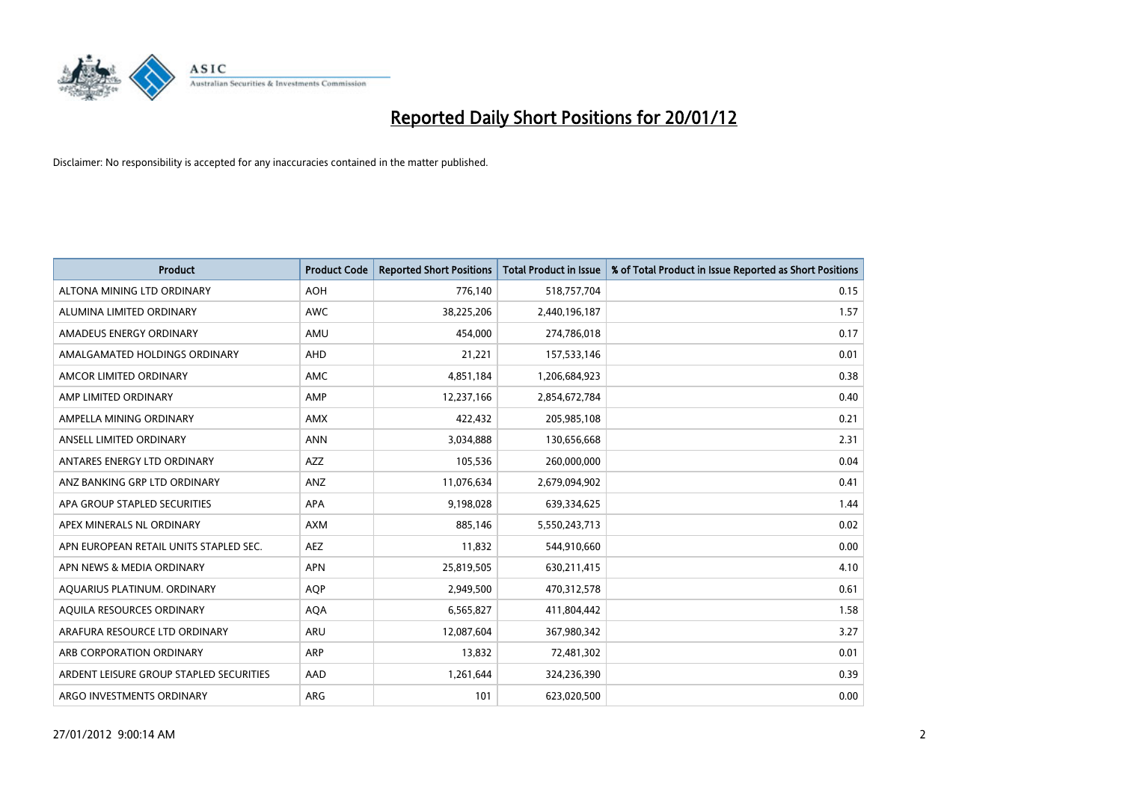

| <b>Product</b>                          | <b>Product Code</b> | <b>Reported Short Positions</b> | <b>Total Product in Issue</b> | % of Total Product in Issue Reported as Short Positions |
|-----------------------------------------|---------------------|---------------------------------|-------------------------------|---------------------------------------------------------|
| ALTONA MINING LTD ORDINARY              | <b>AOH</b>          | 776,140                         | 518,757,704                   | 0.15                                                    |
| ALUMINA LIMITED ORDINARY                | <b>AWC</b>          | 38,225,206                      | 2,440,196,187                 | 1.57                                                    |
| AMADEUS ENERGY ORDINARY                 | AMU                 | 454,000                         | 274,786,018                   | 0.17                                                    |
| AMALGAMATED HOLDINGS ORDINARY           | AHD                 | 21,221                          | 157,533,146                   | 0.01                                                    |
| AMCOR LIMITED ORDINARY                  | AMC                 | 4,851,184                       | 1,206,684,923                 | 0.38                                                    |
| AMP LIMITED ORDINARY                    | AMP                 | 12,237,166                      | 2,854,672,784                 | 0.40                                                    |
| AMPELLA MINING ORDINARY                 | <b>AMX</b>          | 422,432                         | 205,985,108                   | 0.21                                                    |
| ANSELL LIMITED ORDINARY                 | <b>ANN</b>          | 3,034,888                       | 130,656,668                   | 2.31                                                    |
| ANTARES ENERGY LTD ORDINARY             | AZZ                 | 105,536                         | 260,000,000                   | 0.04                                                    |
| ANZ BANKING GRP LTD ORDINARY            | ANZ                 | 11,076,634                      | 2,679,094,902                 | 0.41                                                    |
| APA GROUP STAPLED SECURITIES            | APA                 | 9,198,028                       | 639,334,625                   | 1.44                                                    |
| APEX MINERALS NL ORDINARY               | <b>AXM</b>          | 885,146                         | 5,550,243,713                 | 0.02                                                    |
| APN EUROPEAN RETAIL UNITS STAPLED SEC.  | AEZ                 | 11,832                          | 544,910,660                   | 0.00                                                    |
| APN NEWS & MEDIA ORDINARY               | <b>APN</b>          | 25,819,505                      | 630,211,415                   | 4.10                                                    |
| AQUARIUS PLATINUM. ORDINARY             | <b>AOP</b>          | 2,949,500                       | 470,312,578                   | 0.61                                                    |
| AQUILA RESOURCES ORDINARY               | <b>AQA</b>          | 6,565,827                       | 411,804,442                   | 1.58                                                    |
| ARAFURA RESOURCE LTD ORDINARY           | ARU                 | 12,087,604                      | 367,980,342                   | 3.27                                                    |
| ARB CORPORATION ORDINARY                | ARP                 | 13,832                          | 72,481,302                    | 0.01                                                    |
| ARDENT LEISURE GROUP STAPLED SECURITIES | AAD                 | 1,261,644                       | 324,236,390                   | 0.39                                                    |
| ARGO INVESTMENTS ORDINARY               | ARG                 | 101                             | 623,020,500                   | 0.00                                                    |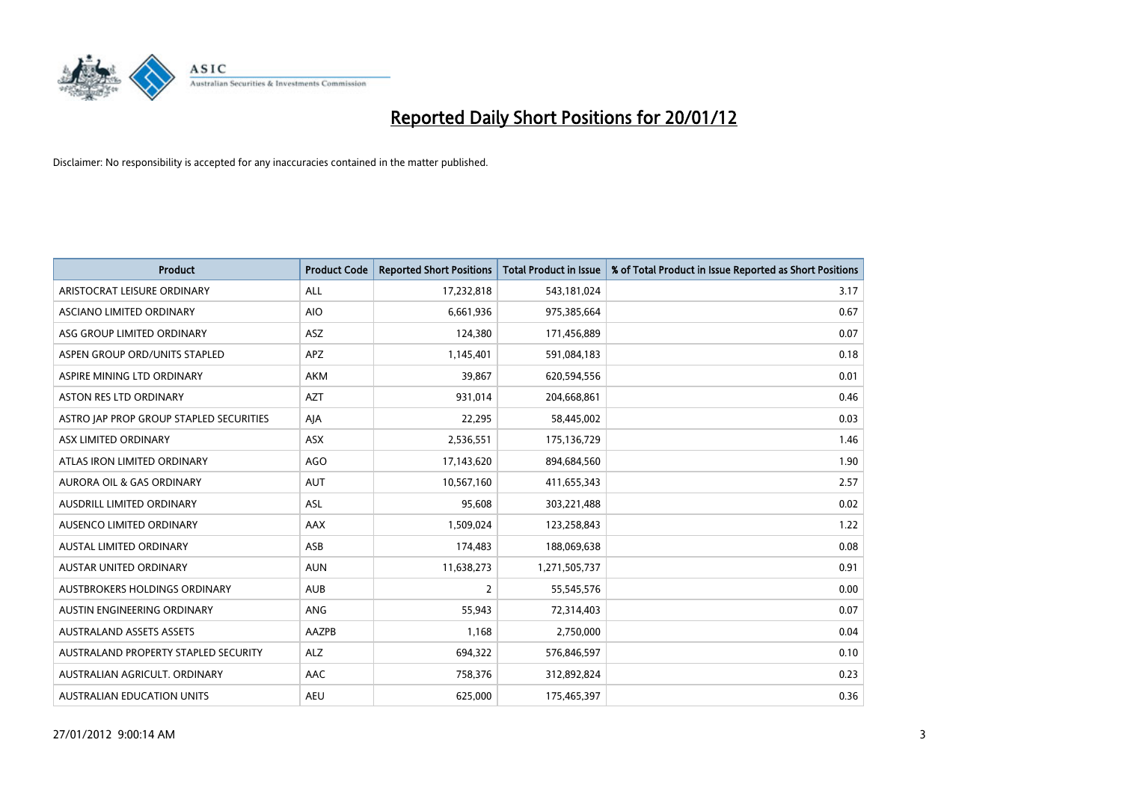

| <b>Product</b>                          | <b>Product Code</b> | <b>Reported Short Positions</b> | <b>Total Product in Issue</b> | % of Total Product in Issue Reported as Short Positions |
|-----------------------------------------|---------------------|---------------------------------|-------------------------------|---------------------------------------------------------|
| ARISTOCRAT LEISURE ORDINARY             | ALL                 | 17,232,818                      | 543,181,024                   | 3.17                                                    |
| ASCIANO LIMITED ORDINARY                | <b>AIO</b>          | 6,661,936                       | 975,385,664                   | 0.67                                                    |
| ASG GROUP LIMITED ORDINARY              | ASZ                 | 124,380                         | 171,456,889                   | 0.07                                                    |
| ASPEN GROUP ORD/UNITS STAPLED           | <b>APZ</b>          | 1,145,401                       | 591,084,183                   | 0.18                                                    |
| ASPIRE MINING LTD ORDINARY              | <b>AKM</b>          | 39,867                          | 620,594,556                   | 0.01                                                    |
| ASTON RES LTD ORDINARY                  | <b>AZT</b>          | 931,014                         | 204,668,861                   | 0.46                                                    |
| ASTRO JAP PROP GROUP STAPLED SECURITIES | AJA                 | 22,295                          | 58,445,002                    | 0.03                                                    |
| ASX LIMITED ORDINARY                    | ASX                 | 2,536,551                       | 175,136,729                   | 1.46                                                    |
| ATLAS IRON LIMITED ORDINARY             | AGO                 | 17,143,620                      | 894,684,560                   | 1.90                                                    |
| <b>AURORA OIL &amp; GAS ORDINARY</b>    | <b>AUT</b>          | 10,567,160                      | 411,655,343                   | 2.57                                                    |
| AUSDRILL LIMITED ORDINARY               | <b>ASL</b>          | 95,608                          | 303,221,488                   | 0.02                                                    |
| AUSENCO LIMITED ORDINARY                | AAX                 | 1,509,024                       | 123,258,843                   | 1.22                                                    |
| <b>AUSTAL LIMITED ORDINARY</b>          | ASB                 | 174,483                         | 188,069,638                   | 0.08                                                    |
| <b>AUSTAR UNITED ORDINARY</b>           | <b>AUN</b>          | 11,638,273                      | 1,271,505,737                 | 0.91                                                    |
| AUSTBROKERS HOLDINGS ORDINARY           | <b>AUB</b>          | $\overline{2}$                  | 55,545,576                    | 0.00                                                    |
| AUSTIN ENGINEERING ORDINARY             | ANG                 | 55,943                          | 72,314,403                    | 0.07                                                    |
| <b>AUSTRALAND ASSETS ASSETS</b>         | AAZPB               | 1,168                           | 2,750,000                     | 0.04                                                    |
| AUSTRALAND PROPERTY STAPLED SECURITY    | <b>ALZ</b>          | 694,322                         | 576,846,597                   | 0.10                                                    |
| AUSTRALIAN AGRICULT, ORDINARY           | AAC                 | 758,376                         | 312,892,824                   | 0.23                                                    |
| AUSTRALIAN EDUCATION UNITS              | <b>AEU</b>          | 625,000                         | 175,465,397                   | 0.36                                                    |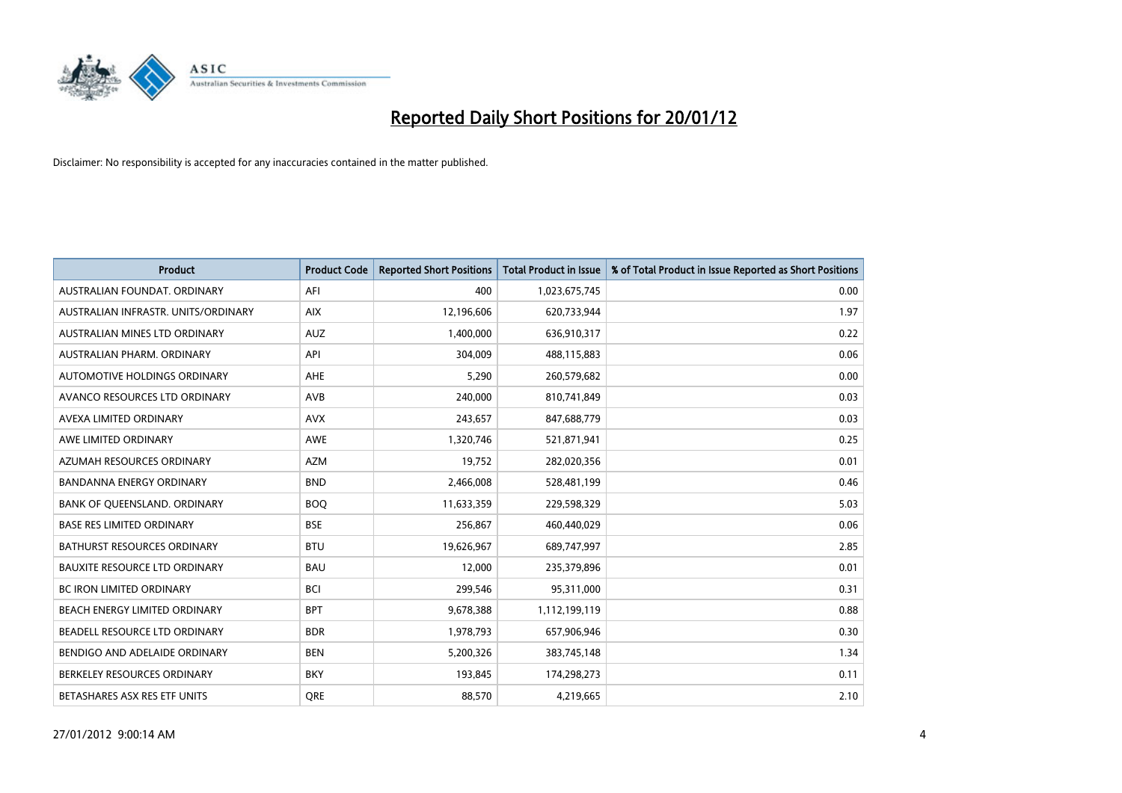

| <b>Product</b>                       | <b>Product Code</b> | <b>Reported Short Positions</b> | <b>Total Product in Issue</b> | % of Total Product in Issue Reported as Short Positions |
|--------------------------------------|---------------------|---------------------------------|-------------------------------|---------------------------------------------------------|
| AUSTRALIAN FOUNDAT, ORDINARY         | AFI                 | 400                             | 1,023,675,745                 | 0.00                                                    |
| AUSTRALIAN INFRASTR. UNITS/ORDINARY  | <b>AIX</b>          | 12,196,606                      | 620,733,944                   | 1.97                                                    |
| AUSTRALIAN MINES LTD ORDINARY        | <b>AUZ</b>          | 1,400,000                       | 636,910,317                   | 0.22                                                    |
| AUSTRALIAN PHARM, ORDINARY           | API                 | 304,009                         | 488,115,883                   | 0.06                                                    |
| AUTOMOTIVE HOLDINGS ORDINARY         | AHE                 | 5,290                           | 260,579,682                   | 0.00                                                    |
| AVANCO RESOURCES LTD ORDINARY        | AVB                 | 240,000                         | 810,741,849                   | 0.03                                                    |
| AVEXA LIMITED ORDINARY               | <b>AVX</b>          | 243,657                         | 847,688,779                   | 0.03                                                    |
| AWE LIMITED ORDINARY                 | AWE                 | 1,320,746                       | 521,871,941                   | 0.25                                                    |
| AZUMAH RESOURCES ORDINARY            | <b>AZM</b>          | 19,752                          | 282,020,356                   | 0.01                                                    |
| <b>BANDANNA ENERGY ORDINARY</b>      | <b>BND</b>          | 2,466,008                       | 528,481,199                   | 0.46                                                    |
| BANK OF QUEENSLAND. ORDINARY         | <b>BOQ</b>          | 11,633,359                      | 229,598,329                   | 5.03                                                    |
| <b>BASE RES LIMITED ORDINARY</b>     | <b>BSE</b>          | 256,867                         | 460,440,029                   | 0.06                                                    |
| <b>BATHURST RESOURCES ORDINARY</b>   | <b>BTU</b>          | 19,626,967                      | 689,747,997                   | 2.85                                                    |
| <b>BAUXITE RESOURCE LTD ORDINARY</b> | <b>BAU</b>          | 12,000                          | 235,379,896                   | 0.01                                                    |
| <b>BC IRON LIMITED ORDINARY</b>      | <b>BCI</b>          | 299,546                         | 95,311,000                    | 0.31                                                    |
| BEACH ENERGY LIMITED ORDINARY        | <b>BPT</b>          | 9,678,388                       | 1,112,199,119                 | 0.88                                                    |
| BEADELL RESOURCE LTD ORDINARY        | <b>BDR</b>          | 1,978,793                       | 657,906,946                   | 0.30                                                    |
| BENDIGO AND ADELAIDE ORDINARY        | <b>BEN</b>          | 5,200,326                       | 383,745,148                   | 1.34                                                    |
| BERKELEY RESOURCES ORDINARY          | <b>BKY</b>          | 193,845                         | 174,298,273                   | 0.11                                                    |
| BETASHARES ASX RES ETF UNITS         | <b>ORE</b>          | 88,570                          | 4,219,665                     | 2.10                                                    |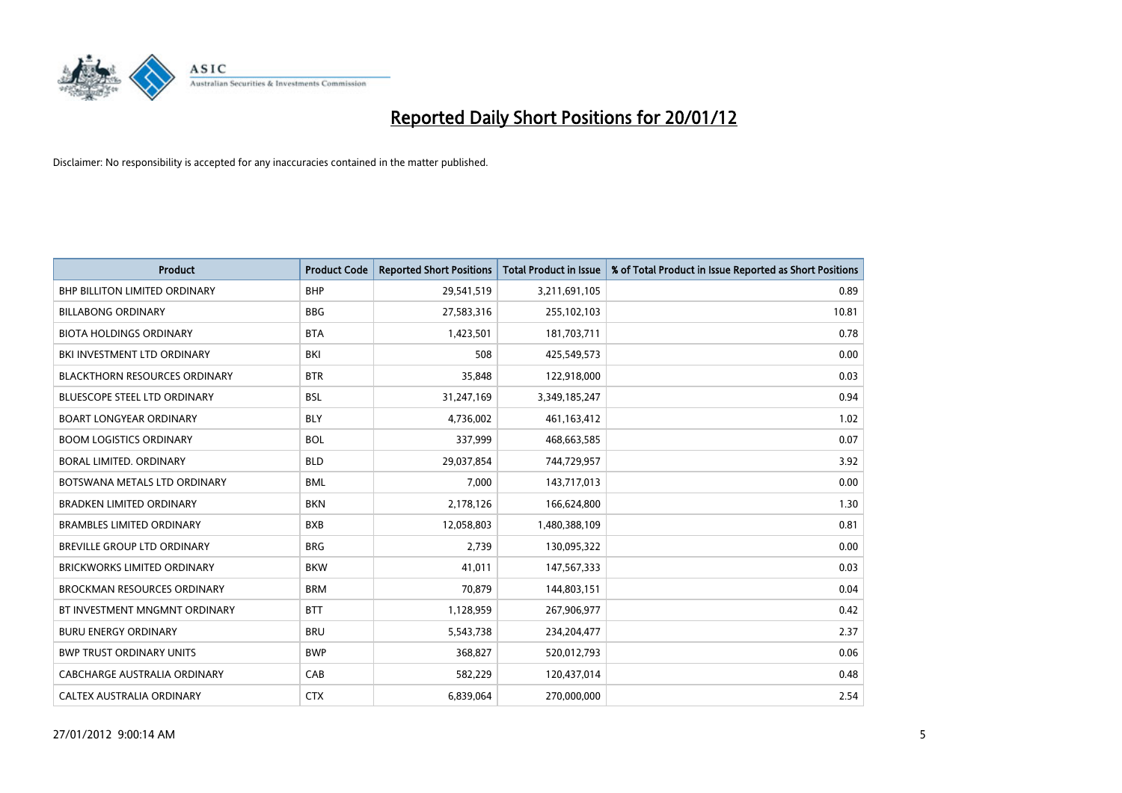

| <b>Product</b>                       | <b>Product Code</b> | <b>Reported Short Positions</b> | <b>Total Product in Issue</b> | % of Total Product in Issue Reported as Short Positions |
|--------------------------------------|---------------------|---------------------------------|-------------------------------|---------------------------------------------------------|
| <b>BHP BILLITON LIMITED ORDINARY</b> | <b>BHP</b>          | 29,541,519                      | 3,211,691,105                 | 0.89                                                    |
| <b>BILLABONG ORDINARY</b>            | <b>BBG</b>          | 27,583,316                      | 255,102,103                   | 10.81                                                   |
| <b>BIOTA HOLDINGS ORDINARY</b>       | <b>BTA</b>          | 1,423,501                       | 181,703,711                   | 0.78                                                    |
| BKI INVESTMENT LTD ORDINARY          | BKI                 | 508                             | 425,549,573                   | 0.00                                                    |
| <b>BLACKTHORN RESOURCES ORDINARY</b> | <b>BTR</b>          | 35,848                          | 122,918,000                   | 0.03                                                    |
| <b>BLUESCOPE STEEL LTD ORDINARY</b>  | <b>BSL</b>          | 31,247,169                      | 3,349,185,247                 | 0.94                                                    |
| <b>BOART LONGYEAR ORDINARY</b>       | <b>BLY</b>          | 4,736,002                       | 461,163,412                   | 1.02                                                    |
| <b>BOOM LOGISTICS ORDINARY</b>       | <b>BOL</b>          | 337,999                         | 468,663,585                   | 0.07                                                    |
| <b>BORAL LIMITED, ORDINARY</b>       | <b>BLD</b>          | 29,037,854                      | 744,729,957                   | 3.92                                                    |
| BOTSWANA METALS LTD ORDINARY         | <b>BML</b>          | 7,000                           | 143,717,013                   | 0.00                                                    |
| BRADKEN LIMITED ORDINARY             | <b>BKN</b>          | 2,178,126                       | 166,624,800                   | 1.30                                                    |
| <b>BRAMBLES LIMITED ORDINARY</b>     | <b>BXB</b>          | 12,058,803                      | 1,480,388,109                 | 0.81                                                    |
| BREVILLE GROUP LTD ORDINARY          | <b>BRG</b>          | 2,739                           | 130,095,322                   | 0.00                                                    |
| <b>BRICKWORKS LIMITED ORDINARY</b>   | <b>BKW</b>          | 41,011                          | 147,567,333                   | 0.03                                                    |
| <b>BROCKMAN RESOURCES ORDINARY</b>   | <b>BRM</b>          | 70,879                          | 144,803,151                   | 0.04                                                    |
| BT INVESTMENT MNGMNT ORDINARY        | <b>BTT</b>          | 1,128,959                       | 267,906,977                   | 0.42                                                    |
| <b>BURU ENERGY ORDINARY</b>          | <b>BRU</b>          | 5,543,738                       | 234,204,477                   | 2.37                                                    |
| <b>BWP TRUST ORDINARY UNITS</b>      | <b>BWP</b>          | 368,827                         | 520,012,793                   | 0.06                                                    |
| <b>CABCHARGE AUSTRALIA ORDINARY</b>  | CAB                 | 582,229                         | 120,437,014                   | 0.48                                                    |
| CALTEX AUSTRALIA ORDINARY            | <b>CTX</b>          | 6,839,064                       | 270,000,000                   | 2.54                                                    |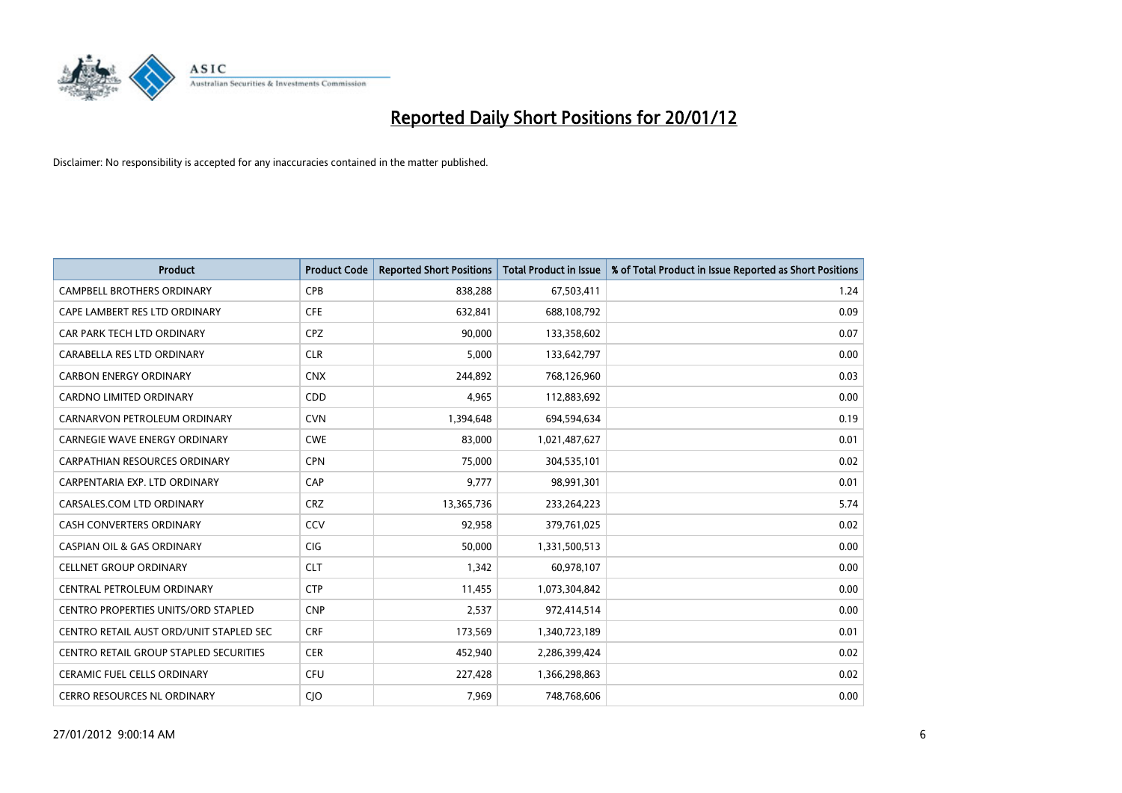

| <b>Product</b>                                | <b>Product Code</b> | <b>Reported Short Positions</b> | <b>Total Product in Issue</b> | % of Total Product in Issue Reported as Short Positions |
|-----------------------------------------------|---------------------|---------------------------------|-------------------------------|---------------------------------------------------------|
| <b>CAMPBELL BROTHERS ORDINARY</b>             | <b>CPB</b>          | 838,288                         | 67,503,411                    | 1.24                                                    |
| CAPE LAMBERT RES LTD ORDINARY                 | <b>CFE</b>          | 632,841                         | 688,108,792                   | 0.09                                                    |
| CAR PARK TECH LTD ORDINARY                    | <b>CPZ</b>          | 90,000                          | 133,358,602                   | 0.07                                                    |
| CARABELLA RES LTD ORDINARY                    | <b>CLR</b>          | 5,000                           | 133,642,797                   | 0.00                                                    |
| <b>CARBON ENERGY ORDINARY</b>                 | <b>CNX</b>          | 244,892                         | 768,126,960                   | 0.03                                                    |
| <b>CARDNO LIMITED ORDINARY</b>                | CDD                 | 4,965                           | 112,883,692                   | 0.00                                                    |
| CARNARVON PETROLEUM ORDINARY                  | <b>CVN</b>          | 1,394,648                       | 694,594,634                   | 0.19                                                    |
| CARNEGIE WAVE ENERGY ORDINARY                 | <b>CWE</b>          | 83,000                          | 1,021,487,627                 | 0.01                                                    |
| <b>CARPATHIAN RESOURCES ORDINARY</b>          | <b>CPN</b>          | 75,000                          | 304,535,101                   | 0.02                                                    |
| CARPENTARIA EXP. LTD ORDINARY                 | CAP                 | 9,777                           | 98,991,301                    | 0.01                                                    |
| CARSALES.COM LTD ORDINARY                     | <b>CRZ</b>          | 13,365,736                      | 233,264,223                   | 5.74                                                    |
| <b>CASH CONVERTERS ORDINARY</b>               | CCV                 | 92,958                          | 379,761,025                   | 0.02                                                    |
| <b>CASPIAN OIL &amp; GAS ORDINARY</b>         | <b>CIG</b>          | 50,000                          | 1,331,500,513                 | 0.00                                                    |
| <b>CELLNET GROUP ORDINARY</b>                 | <b>CLT</b>          | 1,342                           | 60,978,107                    | 0.00                                                    |
| CENTRAL PETROLEUM ORDINARY                    | <b>CTP</b>          | 11,455                          | 1,073,304,842                 | 0.00                                                    |
| CENTRO PROPERTIES UNITS/ORD STAPLED           | <b>CNP</b>          | 2,537                           | 972,414,514                   | 0.00                                                    |
| CENTRO RETAIL AUST ORD/UNIT STAPLED SEC       | <b>CRF</b>          | 173,569                         | 1,340,723,189                 | 0.01                                                    |
| <b>CENTRO RETAIL GROUP STAPLED SECURITIES</b> | <b>CER</b>          | 452,940                         | 2,286,399,424                 | 0.02                                                    |
| <b>CERAMIC FUEL CELLS ORDINARY</b>            | CFU                 | 227,428                         | 1,366,298,863                 | 0.02                                                    |
| CERRO RESOURCES NL ORDINARY                   | CJO                 | 7,969                           | 748,768,606                   | 0.00                                                    |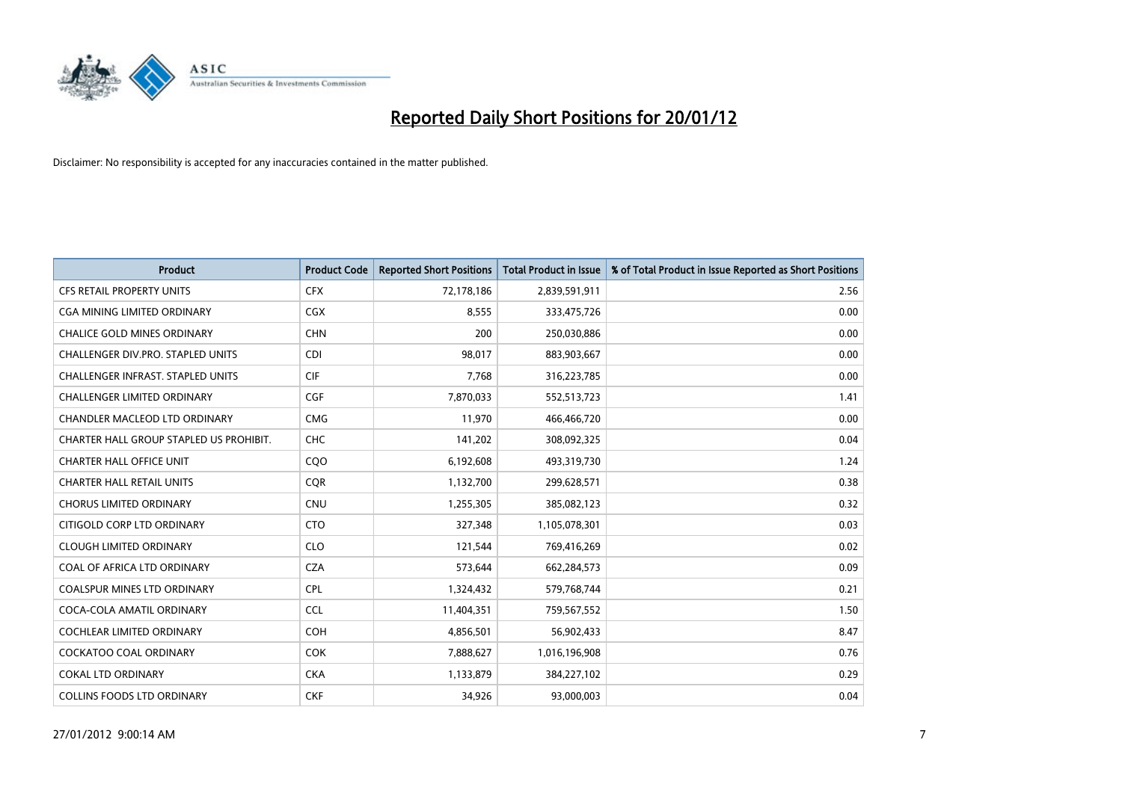

| <b>Product</b>                          | <b>Product Code</b> | <b>Reported Short Positions</b> | <b>Total Product in Issue</b> | % of Total Product in Issue Reported as Short Positions |
|-----------------------------------------|---------------------|---------------------------------|-------------------------------|---------------------------------------------------------|
| <b>CFS RETAIL PROPERTY UNITS</b>        | <b>CFX</b>          | 72,178,186                      | 2,839,591,911                 | 2.56                                                    |
| CGA MINING LIMITED ORDINARY             | <b>CGX</b>          | 8,555                           | 333,475,726                   | 0.00                                                    |
| CHALICE GOLD MINES ORDINARY             | <b>CHN</b>          | 200                             | 250,030,886                   | 0.00                                                    |
| CHALLENGER DIV.PRO. STAPLED UNITS       | <b>CDI</b>          | 98,017                          | 883,903,667                   | 0.00                                                    |
| CHALLENGER INFRAST. STAPLED UNITS       | <b>CIF</b>          | 7,768                           | 316,223,785                   | 0.00                                                    |
| <b>CHALLENGER LIMITED ORDINARY</b>      | <b>CGF</b>          | 7,870,033                       | 552,513,723                   | 1.41                                                    |
| CHANDLER MACLEOD LTD ORDINARY           | <b>CMG</b>          | 11,970                          | 466,466,720                   | 0.00                                                    |
| CHARTER HALL GROUP STAPLED US PROHIBIT. | <b>CHC</b>          | 141,202                         | 308,092,325                   | 0.04                                                    |
| <b>CHARTER HALL OFFICE UNIT</b>         | CQO                 | 6,192,608                       | 493,319,730                   | 1.24                                                    |
| <b>CHARTER HALL RETAIL UNITS</b>        | <b>CQR</b>          | 1,132,700                       | 299,628,571                   | 0.38                                                    |
| <b>CHORUS LIMITED ORDINARY</b>          | <b>CNU</b>          | 1,255,305                       | 385,082,123                   | 0.32                                                    |
| CITIGOLD CORP LTD ORDINARY              | <b>CTO</b>          | 327,348                         | 1,105,078,301                 | 0.03                                                    |
| <b>CLOUGH LIMITED ORDINARY</b>          | <b>CLO</b>          | 121,544                         | 769,416,269                   | 0.02                                                    |
| COAL OF AFRICA LTD ORDINARY             | <b>CZA</b>          | 573,644                         | 662,284,573                   | 0.09                                                    |
| <b>COALSPUR MINES LTD ORDINARY</b>      | <b>CPL</b>          | 1,324,432                       | 579,768,744                   | 0.21                                                    |
| COCA-COLA AMATIL ORDINARY               | <b>CCL</b>          | 11,404,351                      | 759,567,552                   | 1.50                                                    |
| COCHLEAR LIMITED ORDINARY               | <b>COH</b>          | 4,856,501                       | 56,902,433                    | 8.47                                                    |
| <b>COCKATOO COAL ORDINARY</b>           | <b>COK</b>          | 7,888,627                       | 1,016,196,908                 | 0.76                                                    |
| <b>COKAL LTD ORDINARY</b>               | <b>CKA</b>          | 1,133,879                       | 384,227,102                   | 0.29                                                    |
| <b>COLLINS FOODS LTD ORDINARY</b>       | <b>CKF</b>          | 34,926                          | 93,000,003                    | 0.04                                                    |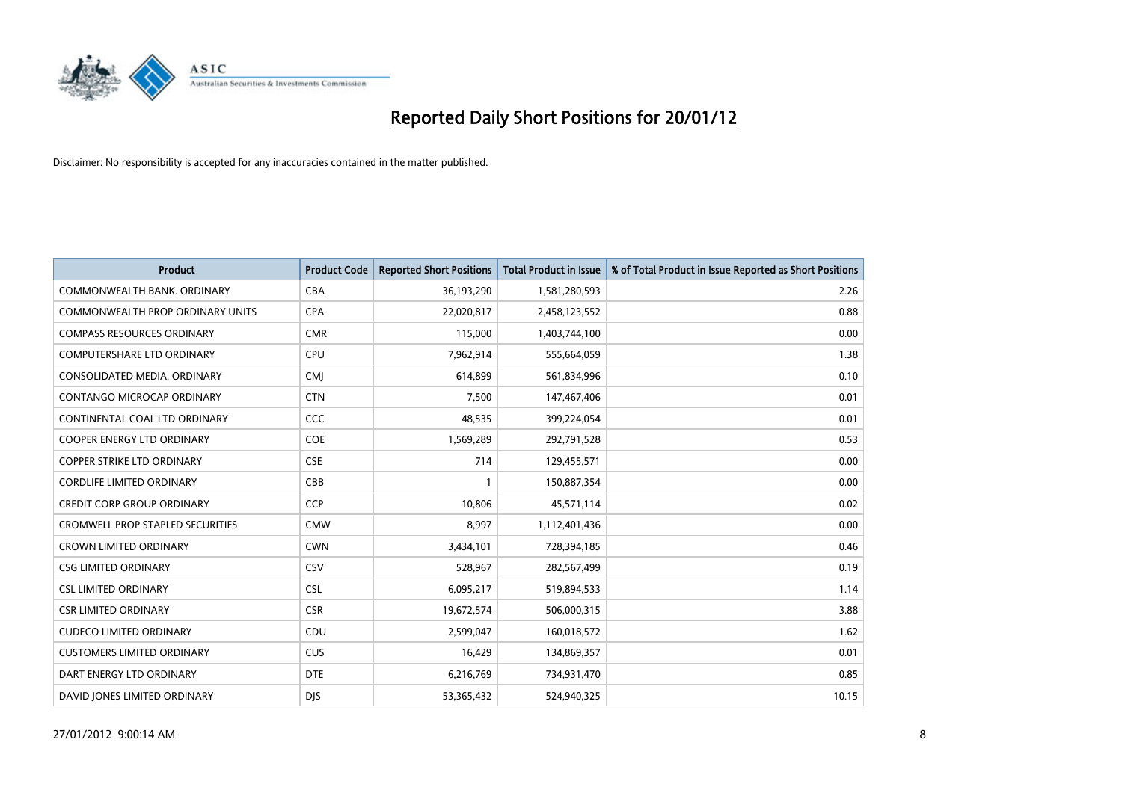

| <b>Product</b>                          | <b>Product Code</b> | <b>Reported Short Positions</b> | <b>Total Product in Issue</b> | % of Total Product in Issue Reported as Short Positions |
|-----------------------------------------|---------------------|---------------------------------|-------------------------------|---------------------------------------------------------|
| COMMONWEALTH BANK, ORDINARY             | <b>CBA</b>          | 36,193,290                      | 1,581,280,593                 | 2.26                                                    |
| COMMONWEALTH PROP ORDINARY UNITS        | <b>CPA</b>          | 22,020,817                      | 2,458,123,552                 | 0.88                                                    |
| <b>COMPASS RESOURCES ORDINARY</b>       | <b>CMR</b>          | 115,000                         | 1,403,744,100                 | 0.00                                                    |
| <b>COMPUTERSHARE LTD ORDINARY</b>       | <b>CPU</b>          | 7,962,914                       | 555,664,059                   | 1.38                                                    |
| CONSOLIDATED MEDIA, ORDINARY            | <b>CMI</b>          | 614,899                         | 561,834,996                   | 0.10                                                    |
| CONTANGO MICROCAP ORDINARY              | <b>CTN</b>          | 7,500                           | 147,467,406                   | 0.01                                                    |
| CONTINENTAL COAL LTD ORDINARY           | CCC                 | 48,535                          | 399,224,054                   | 0.01                                                    |
| COOPER ENERGY LTD ORDINARY              | <b>COE</b>          | 1,569,289                       | 292,791,528                   | 0.53                                                    |
| <b>COPPER STRIKE LTD ORDINARY</b>       | <b>CSE</b>          | 714                             | 129,455,571                   | 0.00                                                    |
| <b>CORDLIFE LIMITED ORDINARY</b>        | CBB                 | 1                               | 150,887,354                   | 0.00                                                    |
| <b>CREDIT CORP GROUP ORDINARY</b>       | <b>CCP</b>          | 10,806                          | 45,571,114                    | 0.02                                                    |
| <b>CROMWELL PROP STAPLED SECURITIES</b> | <b>CMW</b>          | 8,997                           | 1,112,401,436                 | 0.00                                                    |
| <b>CROWN LIMITED ORDINARY</b>           | <b>CWN</b>          | 3,434,101                       | 728,394,185                   | 0.46                                                    |
| <b>CSG LIMITED ORDINARY</b>             | CSV                 | 528,967                         | 282,567,499                   | 0.19                                                    |
| <b>CSL LIMITED ORDINARY</b>             | <b>CSL</b>          | 6,095,217                       | 519,894,533                   | 1.14                                                    |
| <b>CSR LIMITED ORDINARY</b>             | <b>CSR</b>          | 19,672,574                      | 506,000,315                   | 3.88                                                    |
| <b>CUDECO LIMITED ORDINARY</b>          | CDU                 | 2,599,047                       | 160,018,572                   | 1.62                                                    |
| <b>CUSTOMERS LIMITED ORDINARY</b>       | <b>CUS</b>          | 16,429                          | 134,869,357                   | 0.01                                                    |
| DART ENERGY LTD ORDINARY                | <b>DTE</b>          | 6,216,769                       | 734,931,470                   | 0.85                                                    |
| DAVID JONES LIMITED ORDINARY            | <b>DJS</b>          | 53,365,432                      | 524,940,325                   | 10.15                                                   |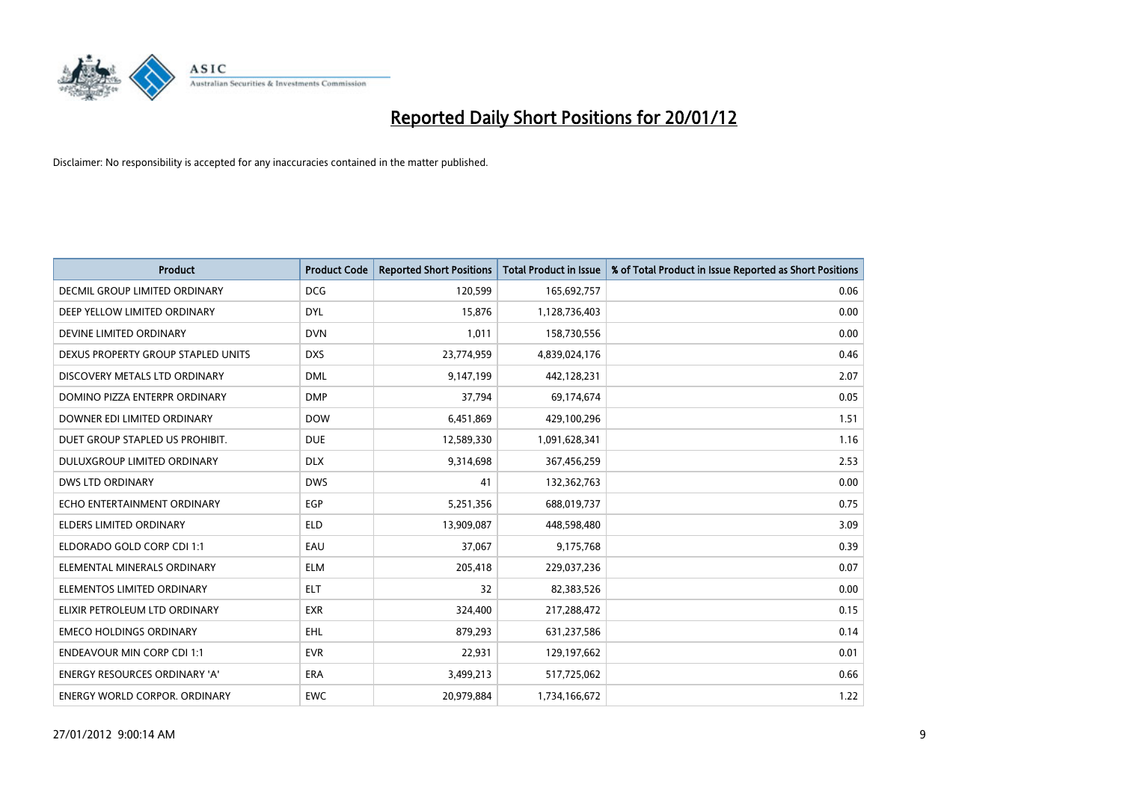

| <b>Product</b>                       | <b>Product Code</b> | <b>Reported Short Positions</b> | <b>Total Product in Issue</b> | % of Total Product in Issue Reported as Short Positions |
|--------------------------------------|---------------------|---------------------------------|-------------------------------|---------------------------------------------------------|
| <b>DECMIL GROUP LIMITED ORDINARY</b> | <b>DCG</b>          | 120,599                         | 165,692,757                   | 0.06                                                    |
| DEEP YELLOW LIMITED ORDINARY         | <b>DYL</b>          | 15,876                          | 1,128,736,403                 | 0.00                                                    |
| DEVINE LIMITED ORDINARY              | <b>DVN</b>          | 1,011                           | 158,730,556                   | 0.00                                                    |
| DEXUS PROPERTY GROUP STAPLED UNITS   | <b>DXS</b>          | 23,774,959                      | 4,839,024,176                 | 0.46                                                    |
| DISCOVERY METALS LTD ORDINARY        | <b>DML</b>          | 9,147,199                       | 442,128,231                   | 2.07                                                    |
| DOMINO PIZZA ENTERPR ORDINARY        | <b>DMP</b>          | 37,794                          | 69,174,674                    | 0.05                                                    |
| DOWNER EDI LIMITED ORDINARY          | <b>DOW</b>          | 6,451,869                       | 429,100,296                   | 1.51                                                    |
| DUET GROUP STAPLED US PROHIBIT.      | <b>DUE</b>          | 12,589,330                      | 1,091,628,341                 | 1.16                                                    |
| DULUXGROUP LIMITED ORDINARY          | <b>DLX</b>          | 9,314,698                       | 367,456,259                   | 2.53                                                    |
| <b>DWS LTD ORDINARY</b>              | <b>DWS</b>          | 41                              | 132,362,763                   | 0.00                                                    |
| ECHO ENTERTAINMENT ORDINARY          | <b>EGP</b>          | 5,251,356                       | 688,019,737                   | 0.75                                                    |
| <b>ELDERS LIMITED ORDINARY</b>       | <b>ELD</b>          | 13,909,087                      | 448,598,480                   | 3.09                                                    |
| ELDORADO GOLD CORP CDI 1:1           | EAU                 | 37,067                          | 9,175,768                     | 0.39                                                    |
| ELEMENTAL MINERALS ORDINARY          | <b>ELM</b>          | 205,418                         | 229,037,236                   | 0.07                                                    |
| ELEMENTOS LIMITED ORDINARY           | <b>ELT</b>          | 32                              | 82,383,526                    | 0.00                                                    |
| ELIXIR PETROLEUM LTD ORDINARY        | <b>EXR</b>          | 324,400                         | 217,288,472                   | 0.15                                                    |
| <b>EMECO HOLDINGS ORDINARY</b>       | <b>EHL</b>          | 879,293                         | 631,237,586                   | 0.14                                                    |
| <b>ENDEAVOUR MIN CORP CDI 1:1</b>    | <b>EVR</b>          | 22,931                          | 129,197,662                   | 0.01                                                    |
| <b>ENERGY RESOURCES ORDINARY 'A'</b> | <b>ERA</b>          | 3,499,213                       | 517,725,062                   | 0.66                                                    |
| <b>ENERGY WORLD CORPOR. ORDINARY</b> | <b>EWC</b>          | 20,979,884                      | 1,734,166,672                 | 1.22                                                    |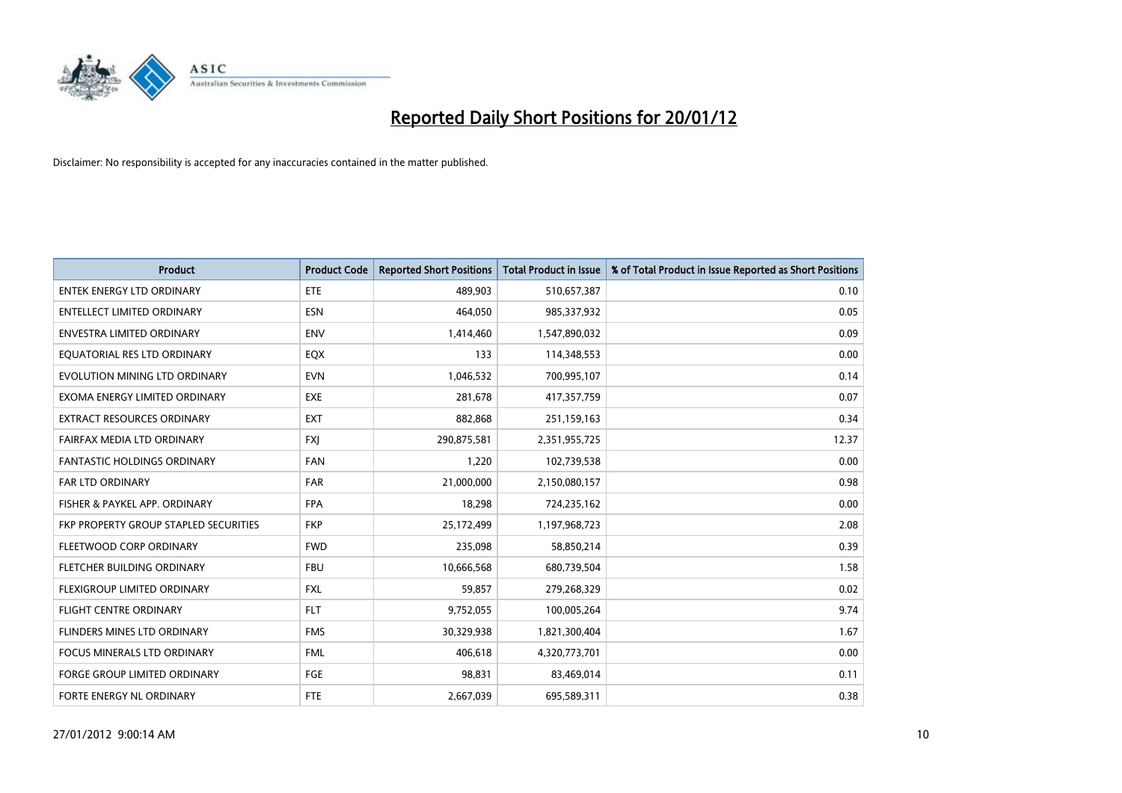

| Product                               | <b>Product Code</b> | <b>Reported Short Positions</b> | <b>Total Product in Issue</b> | % of Total Product in Issue Reported as Short Positions |
|---------------------------------------|---------------------|---------------------------------|-------------------------------|---------------------------------------------------------|
| <b>ENTEK ENERGY LTD ORDINARY</b>      | ETE                 | 489,903                         | 510,657,387                   | 0.10                                                    |
| <b>ENTELLECT LIMITED ORDINARY</b>     | <b>ESN</b>          | 464,050                         | 985,337,932                   | 0.05                                                    |
| <b>ENVESTRA LIMITED ORDINARY</b>      | <b>ENV</b>          | 1,414,460                       | 1,547,890,032                 | 0.09                                                    |
| EQUATORIAL RES LTD ORDINARY           | EQX                 | 133                             | 114,348,553                   | 0.00                                                    |
| EVOLUTION MINING LTD ORDINARY         | <b>EVN</b>          | 1,046,532                       | 700,995,107                   | 0.14                                                    |
| EXOMA ENERGY LIMITED ORDINARY         | <b>EXE</b>          | 281,678                         | 417,357,759                   | 0.07                                                    |
| EXTRACT RESOURCES ORDINARY            | <b>EXT</b>          | 882,868                         | 251,159,163                   | 0.34                                                    |
| FAIRFAX MEDIA LTD ORDINARY            | FXJ                 | 290,875,581                     | 2,351,955,725                 | 12.37                                                   |
| <b>FANTASTIC HOLDINGS ORDINARY</b>    | <b>FAN</b>          | 1,220                           | 102,739,538                   | 0.00                                                    |
| FAR LTD ORDINARY                      | FAR                 | 21,000,000                      | 2,150,080,157                 | 0.98                                                    |
| FISHER & PAYKEL APP. ORDINARY         | <b>FPA</b>          | 18,298                          | 724,235,162                   | 0.00                                                    |
| FKP PROPERTY GROUP STAPLED SECURITIES | <b>FKP</b>          | 25,172,499                      | 1,197,968,723                 | 2.08                                                    |
| FLEETWOOD CORP ORDINARY               | <b>FWD</b>          | 235,098                         | 58,850,214                    | 0.39                                                    |
| FLETCHER BUILDING ORDINARY            | <b>FBU</b>          | 10,666,568                      | 680,739,504                   | 1.58                                                    |
| FLEXIGROUP LIMITED ORDINARY           | <b>FXL</b>          | 59,857                          | 279,268,329                   | 0.02                                                    |
| <b>FLIGHT CENTRE ORDINARY</b>         | <b>FLT</b>          | 9,752,055                       | 100,005,264                   | 9.74                                                    |
| FLINDERS MINES LTD ORDINARY           | <b>FMS</b>          | 30,329,938                      | 1,821,300,404                 | 1.67                                                    |
| <b>FOCUS MINERALS LTD ORDINARY</b>    | <b>FML</b>          | 406,618                         | 4,320,773,701                 | 0.00                                                    |
| FORGE GROUP LIMITED ORDINARY          | FGE                 | 98,831                          | 83,469,014                    | 0.11                                                    |
| FORTE ENERGY NL ORDINARY              | <b>FTE</b>          | 2,667,039                       | 695,589,311                   | 0.38                                                    |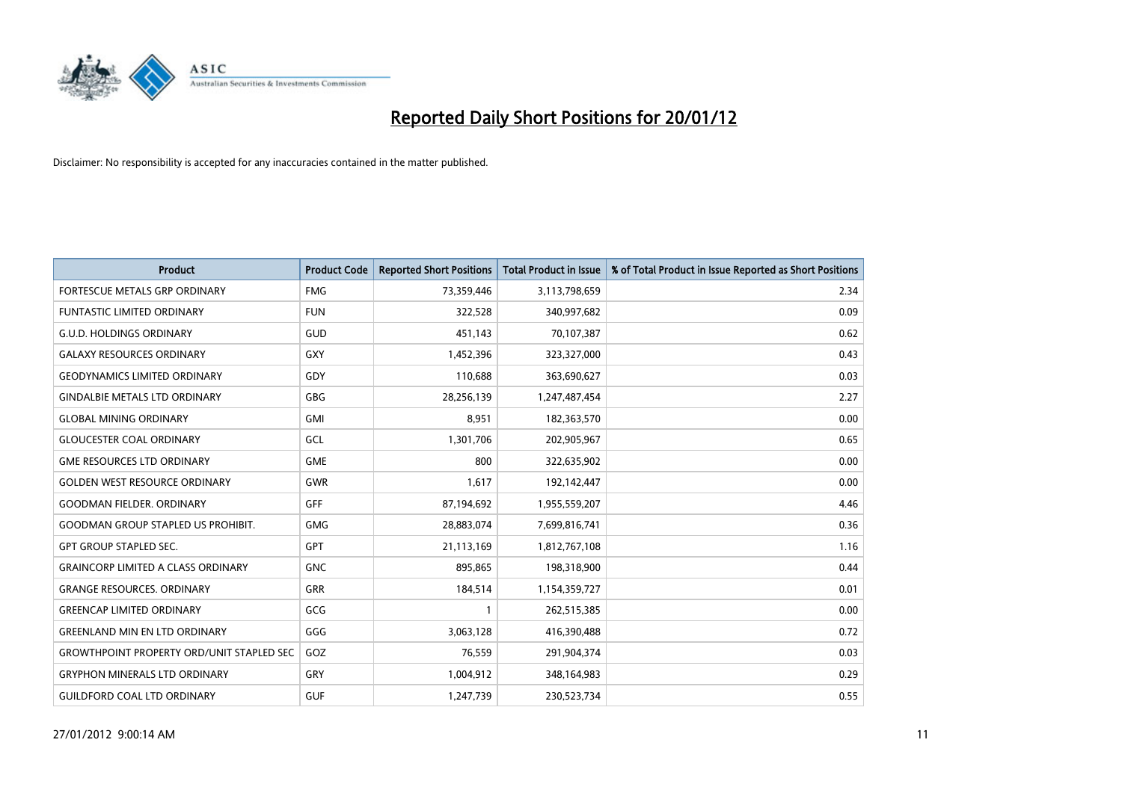

| <b>Product</b>                                   | <b>Product Code</b> | <b>Reported Short Positions</b> | <b>Total Product in Issue</b> | % of Total Product in Issue Reported as Short Positions |
|--------------------------------------------------|---------------------|---------------------------------|-------------------------------|---------------------------------------------------------|
| FORTESCUE METALS GRP ORDINARY                    | <b>FMG</b>          | 73,359,446                      | 3,113,798,659                 | 2.34                                                    |
| <b>FUNTASTIC LIMITED ORDINARY</b>                | <b>FUN</b>          | 322,528                         | 340,997,682                   | 0.09                                                    |
| <b>G.U.D. HOLDINGS ORDINARY</b>                  | GUD                 | 451,143                         | 70,107,387                    | 0.62                                                    |
| <b>GALAXY RESOURCES ORDINARY</b>                 | <b>GXY</b>          | 1,452,396                       | 323,327,000                   | 0.43                                                    |
| <b>GEODYNAMICS LIMITED ORDINARY</b>              | GDY                 | 110,688                         | 363,690,627                   | 0.03                                                    |
| <b>GINDALBIE METALS LTD ORDINARY</b>             | GBG                 | 28,256,139                      | 1,247,487,454                 | 2.27                                                    |
| <b>GLOBAL MINING ORDINARY</b>                    | GMI                 | 8,951                           | 182,363,570                   | 0.00                                                    |
| <b>GLOUCESTER COAL ORDINARY</b>                  | GCL                 | 1,301,706                       | 202,905,967                   | 0.65                                                    |
| <b>GME RESOURCES LTD ORDINARY</b>                | <b>GME</b>          | 800                             | 322,635,902                   | 0.00                                                    |
| <b>GOLDEN WEST RESOURCE ORDINARY</b>             | <b>GWR</b>          | 1,617                           | 192,142,447                   | 0.00                                                    |
| <b>GOODMAN FIELDER, ORDINARY</b>                 | GFF                 | 87,194,692                      | 1,955,559,207                 | 4.46                                                    |
| <b>GOODMAN GROUP STAPLED US PROHIBIT.</b>        | <b>GMG</b>          | 28,883,074                      | 7,699,816,741                 | 0.36                                                    |
| <b>GPT GROUP STAPLED SEC.</b>                    | <b>GPT</b>          | 21,113,169                      | 1,812,767,108                 | 1.16                                                    |
| <b>GRAINCORP LIMITED A CLASS ORDINARY</b>        | <b>GNC</b>          | 895,865                         | 198,318,900                   | 0.44                                                    |
| <b>GRANGE RESOURCES. ORDINARY</b>                | <b>GRR</b>          | 184,514                         | 1,154,359,727                 | 0.01                                                    |
| <b>GREENCAP LIMITED ORDINARY</b>                 | GCG                 | 1                               | 262,515,385                   | 0.00                                                    |
| <b>GREENLAND MIN EN LTD ORDINARY</b>             | GGG                 | 3,063,128                       | 416,390,488                   | 0.72                                                    |
| <b>GROWTHPOINT PROPERTY ORD/UNIT STAPLED SEC</b> | GOZ                 | 76,559                          | 291,904,374                   | 0.03                                                    |
| <b>GRYPHON MINERALS LTD ORDINARY</b>             | GRY                 | 1,004,912                       | 348,164,983                   | 0.29                                                    |
| <b>GUILDFORD COAL LTD ORDINARY</b>               | <b>GUF</b>          | 1,247,739                       | 230,523,734                   | 0.55                                                    |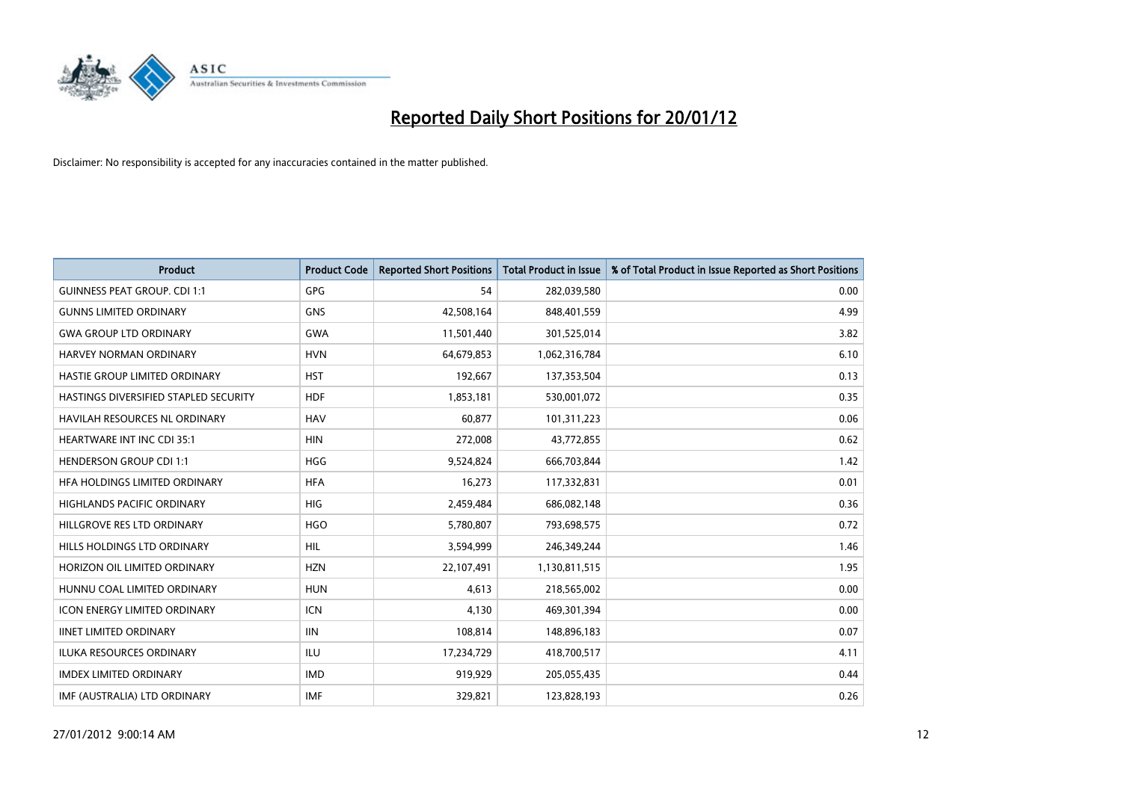

| <b>Product</b>                        | <b>Product Code</b> | <b>Reported Short Positions</b> | <b>Total Product in Issue</b> | % of Total Product in Issue Reported as Short Positions |
|---------------------------------------|---------------------|---------------------------------|-------------------------------|---------------------------------------------------------|
| <b>GUINNESS PEAT GROUP. CDI 1:1</b>   | <b>GPG</b>          | 54                              | 282,039,580                   | 0.00                                                    |
| <b>GUNNS LIMITED ORDINARY</b>         | <b>GNS</b>          | 42,508,164                      | 848,401,559                   | 4.99                                                    |
| <b>GWA GROUP LTD ORDINARY</b>         | <b>GWA</b>          | 11,501,440                      | 301,525,014                   | 3.82                                                    |
| HARVEY NORMAN ORDINARY                | <b>HVN</b>          | 64,679,853                      | 1,062,316,784                 | 6.10                                                    |
| HASTIE GROUP LIMITED ORDINARY         | <b>HST</b>          | 192,667                         | 137,353,504                   | 0.13                                                    |
| HASTINGS DIVERSIFIED STAPLED SECURITY | <b>HDF</b>          | 1,853,181                       | 530,001,072                   | 0.35                                                    |
| <b>HAVILAH RESOURCES NL ORDINARY</b>  | <b>HAV</b>          | 60.877                          | 101,311,223                   | 0.06                                                    |
| HEARTWARE INT INC CDI 35:1            | <b>HIN</b>          | 272,008                         | 43,772,855                    | 0.62                                                    |
| <b>HENDERSON GROUP CDI 1:1</b>        | <b>HGG</b>          | 9,524,824                       | 666,703,844                   | 1.42                                                    |
| HFA HOLDINGS LIMITED ORDINARY         | <b>HFA</b>          | 16,273                          | 117,332,831                   | 0.01                                                    |
| HIGHLANDS PACIFIC ORDINARY            | <b>HIG</b>          | 2,459,484                       | 686,082,148                   | 0.36                                                    |
| HILLGROVE RES LTD ORDINARY            | <b>HGO</b>          | 5,780,807                       | 793,698,575                   | 0.72                                                    |
| HILLS HOLDINGS LTD ORDINARY           | <b>HIL</b>          | 3,594,999                       | 246,349,244                   | 1.46                                                    |
| HORIZON OIL LIMITED ORDINARY          | <b>HZN</b>          | 22,107,491                      | 1,130,811,515                 | 1.95                                                    |
| HUNNU COAL LIMITED ORDINARY           | <b>HUN</b>          | 4,613                           | 218,565,002                   | 0.00                                                    |
| <b>ICON ENERGY LIMITED ORDINARY</b>   | <b>ICN</b>          | 4,130                           | 469,301,394                   | 0.00                                                    |
| <b>IINET LIMITED ORDINARY</b>         | <b>IIN</b>          | 108,814                         | 148,896,183                   | 0.07                                                    |
| ILUKA RESOURCES ORDINARY              | ILU                 | 17,234,729                      | 418,700,517                   | 4.11                                                    |
| <b>IMDEX LIMITED ORDINARY</b>         | <b>IMD</b>          | 919,929                         | 205,055,435                   | 0.44                                                    |
| IMF (AUSTRALIA) LTD ORDINARY          | <b>IMF</b>          | 329,821                         | 123,828,193                   | 0.26                                                    |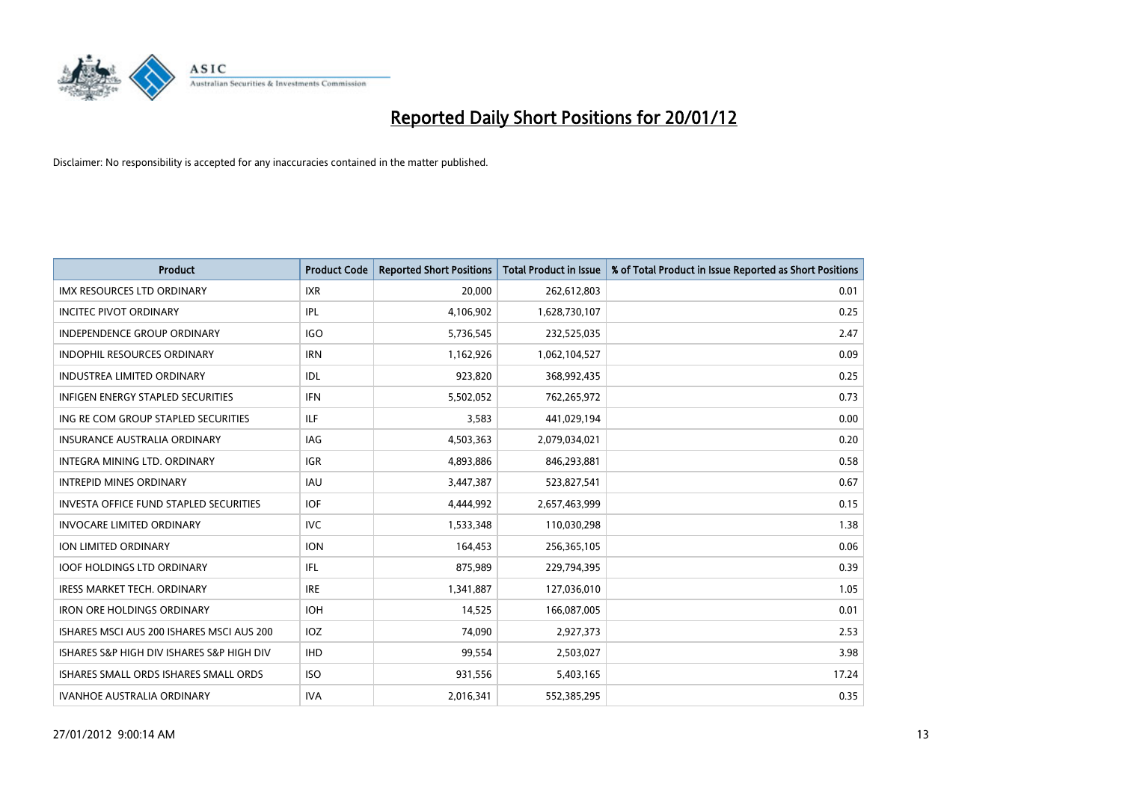

| <b>Product</b>                                | <b>Product Code</b> | <b>Reported Short Positions</b> | <b>Total Product in Issue</b> | % of Total Product in Issue Reported as Short Positions |
|-----------------------------------------------|---------------------|---------------------------------|-------------------------------|---------------------------------------------------------|
| <b>IMX RESOURCES LTD ORDINARY</b>             | <b>IXR</b>          | 20,000                          | 262,612,803                   | 0.01                                                    |
| <b>INCITEC PIVOT ORDINARY</b>                 | IPL                 | 4,106,902                       | 1,628,730,107                 | 0.25                                                    |
| <b>INDEPENDENCE GROUP ORDINARY</b>            | <b>IGO</b>          | 5,736,545                       | 232,525,035                   | 2.47                                                    |
| INDOPHIL RESOURCES ORDINARY                   | <b>IRN</b>          | 1,162,926                       | 1,062,104,527                 | 0.09                                                    |
| <b>INDUSTREA LIMITED ORDINARY</b>             | IDL                 | 923,820                         | 368,992,435                   | 0.25                                                    |
| <b>INFIGEN ENERGY STAPLED SECURITIES</b>      | <b>IFN</b>          | 5,502,052                       | 762,265,972                   | 0.73                                                    |
| ING RE COM GROUP STAPLED SECURITIES           | ILF                 | 3,583                           | 441,029,194                   | 0.00                                                    |
| <b>INSURANCE AUSTRALIA ORDINARY</b>           | <b>IAG</b>          | 4,503,363                       | 2,079,034,021                 | 0.20                                                    |
| INTEGRA MINING LTD, ORDINARY                  | <b>IGR</b>          | 4,893,886                       | 846,293,881                   | 0.58                                                    |
| <b>INTREPID MINES ORDINARY</b>                | <b>IAU</b>          | 3,447,387                       | 523,827,541                   | 0.67                                                    |
| <b>INVESTA OFFICE FUND STAPLED SECURITIES</b> | <b>IOF</b>          | 4,444,992                       | 2,657,463,999                 | 0.15                                                    |
| <b>INVOCARE LIMITED ORDINARY</b>              | <b>IVC</b>          | 1,533,348                       | 110,030,298                   | 1.38                                                    |
| ION LIMITED ORDINARY                          | <b>ION</b>          | 164,453                         | 256,365,105                   | 0.06                                                    |
| <b>IOOF HOLDINGS LTD ORDINARY</b>             | IFL                 | 875,989                         | 229,794,395                   | 0.39                                                    |
| <b>IRESS MARKET TECH. ORDINARY</b>            | <b>IRE</b>          | 1,341,887                       | 127,036,010                   | 1.05                                                    |
| <b>IRON ORE HOLDINGS ORDINARY</b>             | <b>IOH</b>          | 14,525                          | 166,087,005                   | 0.01                                                    |
| ISHARES MSCI AUS 200 ISHARES MSCI AUS 200     | IOZ                 | 74,090                          | 2,927,373                     | 2.53                                                    |
| ISHARES S&P HIGH DIV ISHARES S&P HIGH DIV     | <b>IHD</b>          | 99,554                          | 2,503,027                     | 3.98                                                    |
| ISHARES SMALL ORDS ISHARES SMALL ORDS         | <b>ISO</b>          | 931,556                         | 5,403,165                     | 17.24                                                   |
| <b>IVANHOE AUSTRALIA ORDINARY</b>             | <b>IVA</b>          | 2,016,341                       | 552,385,295                   | 0.35                                                    |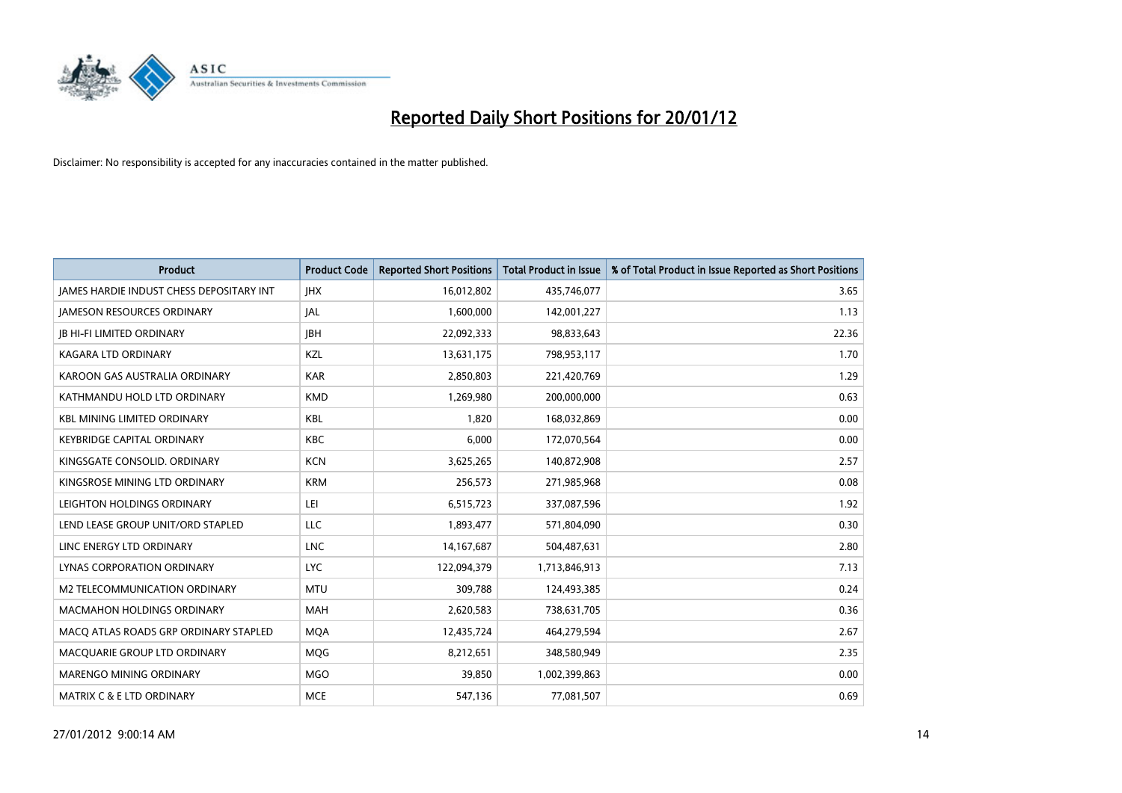

| <b>Product</b>                           | <b>Product Code</b> | <b>Reported Short Positions</b> | <b>Total Product in Issue</b> | % of Total Product in Issue Reported as Short Positions |
|------------------------------------------|---------------------|---------------------------------|-------------------------------|---------------------------------------------------------|
| JAMES HARDIE INDUST CHESS DEPOSITARY INT | <b>IHX</b>          | 16,012,802                      | 435,746,077                   | 3.65                                                    |
| <b>JAMESON RESOURCES ORDINARY</b>        | <b>JAL</b>          | 1,600,000                       | 142,001,227                   | 1.13                                                    |
| <b>JB HI-FI LIMITED ORDINARY</b>         | <b>IBH</b>          | 22,092,333                      | 98,833,643                    | 22.36                                                   |
| <b>KAGARA LTD ORDINARY</b>               | KZL                 | 13,631,175                      | 798,953,117                   | 1.70                                                    |
| KAROON GAS AUSTRALIA ORDINARY            | <b>KAR</b>          | 2,850,803                       | 221,420,769                   | 1.29                                                    |
| KATHMANDU HOLD LTD ORDINARY              | <b>KMD</b>          | 1,269,980                       | 200,000,000                   | 0.63                                                    |
| <b>KBL MINING LIMITED ORDINARY</b>       | <b>KBL</b>          | 1,820                           | 168,032,869                   | 0.00                                                    |
| <b>KEYBRIDGE CAPITAL ORDINARY</b>        | <b>KBC</b>          | 6,000                           | 172,070,564                   | 0.00                                                    |
| KINGSGATE CONSOLID. ORDINARY             | <b>KCN</b>          | 3,625,265                       | 140,872,908                   | 2.57                                                    |
| KINGSROSE MINING LTD ORDINARY            | <b>KRM</b>          | 256,573                         | 271,985,968                   | 0.08                                                    |
| LEIGHTON HOLDINGS ORDINARY               | LEI                 | 6,515,723                       | 337,087,596                   | 1.92                                                    |
| LEND LEASE GROUP UNIT/ORD STAPLED        | LLC                 | 1,893,477                       | 571,804,090                   | 0.30                                                    |
| LINC ENERGY LTD ORDINARY                 | <b>LNC</b>          | 14, 167, 687                    | 504,487,631                   | 2.80                                                    |
| LYNAS CORPORATION ORDINARY               | <b>LYC</b>          | 122,094,379                     | 1,713,846,913                 | 7.13                                                    |
| M2 TELECOMMUNICATION ORDINARY            | <b>MTU</b>          | 309,788                         | 124,493,385                   | 0.24                                                    |
| MACMAHON HOLDINGS ORDINARY               | MAH                 | 2,620,583                       | 738,631,705                   | 0.36                                                    |
| MACO ATLAS ROADS GRP ORDINARY STAPLED    | <b>MQA</b>          | 12,435,724                      | 464,279,594                   | 2.67                                                    |
| MACQUARIE GROUP LTD ORDINARY             | MQG                 | 8,212,651                       | 348,580,949                   | 2.35                                                    |
| MARENGO MINING ORDINARY                  | <b>MGO</b>          | 39,850                          | 1,002,399,863                 | 0.00                                                    |
| <b>MATRIX C &amp; E LTD ORDINARY</b>     | <b>MCE</b>          | 547,136                         | 77,081,507                    | 0.69                                                    |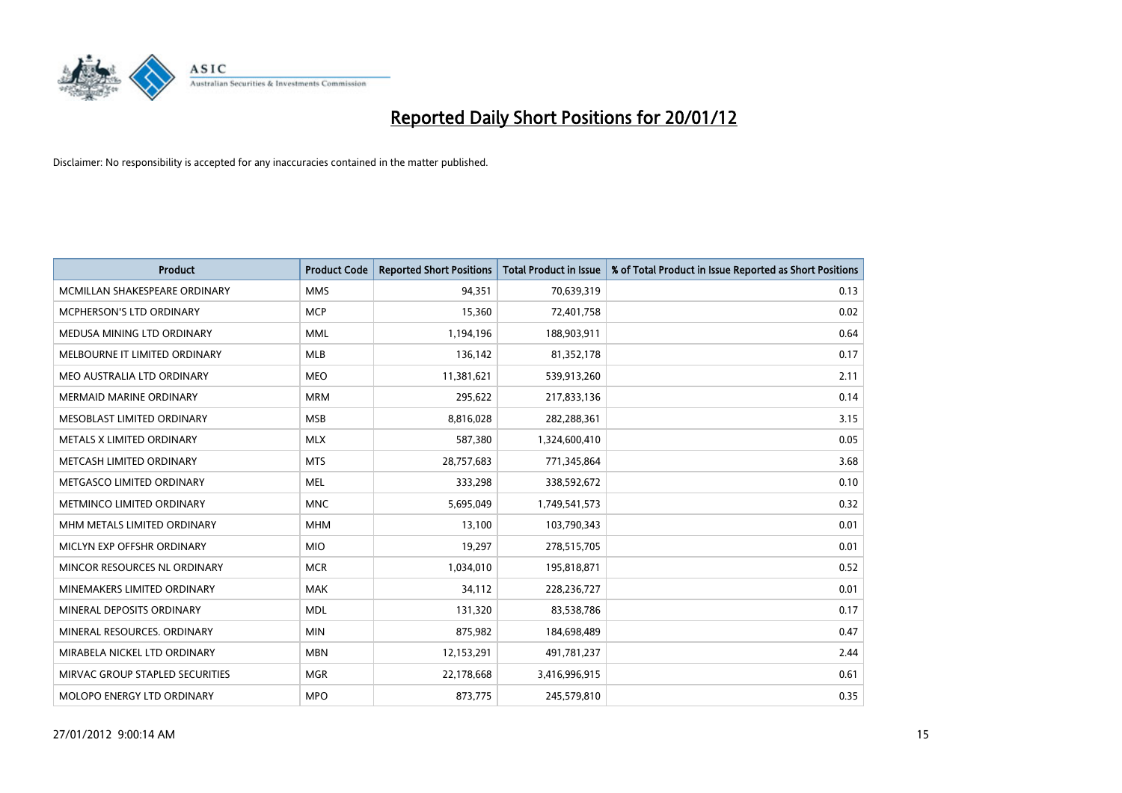

| <b>Product</b>                  | <b>Product Code</b> | <b>Reported Short Positions</b> | <b>Total Product in Issue</b> | % of Total Product in Issue Reported as Short Positions |
|---------------------------------|---------------------|---------------------------------|-------------------------------|---------------------------------------------------------|
| MCMILLAN SHAKESPEARE ORDINARY   | <b>MMS</b>          | 94,351                          | 70,639,319                    | 0.13                                                    |
| MCPHERSON'S LTD ORDINARY        | <b>MCP</b>          | 15,360                          | 72,401,758                    | 0.02                                                    |
| MEDUSA MINING LTD ORDINARY      | <b>MML</b>          | 1,194,196                       | 188,903,911                   | 0.64                                                    |
| MELBOURNE IT LIMITED ORDINARY   | <b>MLB</b>          | 136,142                         | 81,352,178                    | 0.17                                                    |
| MEO AUSTRALIA LTD ORDINARY      | <b>MEO</b>          | 11,381,621                      | 539,913,260                   | 2.11                                                    |
| <b>MERMAID MARINE ORDINARY</b>  | <b>MRM</b>          | 295,622                         | 217,833,136                   | 0.14                                                    |
| MESOBLAST LIMITED ORDINARY      | <b>MSB</b>          | 8,816,028                       | 282,288,361                   | 3.15                                                    |
| METALS X LIMITED ORDINARY       | <b>MLX</b>          | 587,380                         | 1,324,600,410                 | 0.05                                                    |
| METCASH LIMITED ORDINARY        | <b>MTS</b>          | 28,757,683                      | 771,345,864                   | 3.68                                                    |
| METGASCO LIMITED ORDINARY       | <b>MEL</b>          | 333,298                         | 338,592,672                   | 0.10                                                    |
| METMINCO LIMITED ORDINARY       | <b>MNC</b>          | 5,695,049                       | 1,749,541,573                 | 0.32                                                    |
| MHM METALS LIMITED ORDINARY     | <b>MHM</b>          | 13,100                          | 103,790,343                   | 0.01                                                    |
| MICLYN EXP OFFSHR ORDINARY      | <b>MIO</b>          | 19,297                          | 278,515,705                   | 0.01                                                    |
| MINCOR RESOURCES NL ORDINARY    | <b>MCR</b>          | 1,034,010                       | 195,818,871                   | 0.52                                                    |
| MINEMAKERS LIMITED ORDINARY     | <b>MAK</b>          | 34,112                          | 228,236,727                   | 0.01                                                    |
| MINERAL DEPOSITS ORDINARY       | <b>MDL</b>          | 131,320                         | 83,538,786                    | 0.17                                                    |
| MINERAL RESOURCES. ORDINARY     | <b>MIN</b>          | 875,982                         | 184,698,489                   | 0.47                                                    |
| MIRABELA NICKEL LTD ORDINARY    | <b>MBN</b>          | 12,153,291                      | 491,781,237                   | 2.44                                                    |
| MIRVAC GROUP STAPLED SECURITIES | <b>MGR</b>          | 22,178,668                      | 3,416,996,915                 | 0.61                                                    |
| MOLOPO ENERGY LTD ORDINARY      | <b>MPO</b>          | 873,775                         | 245,579,810                   | 0.35                                                    |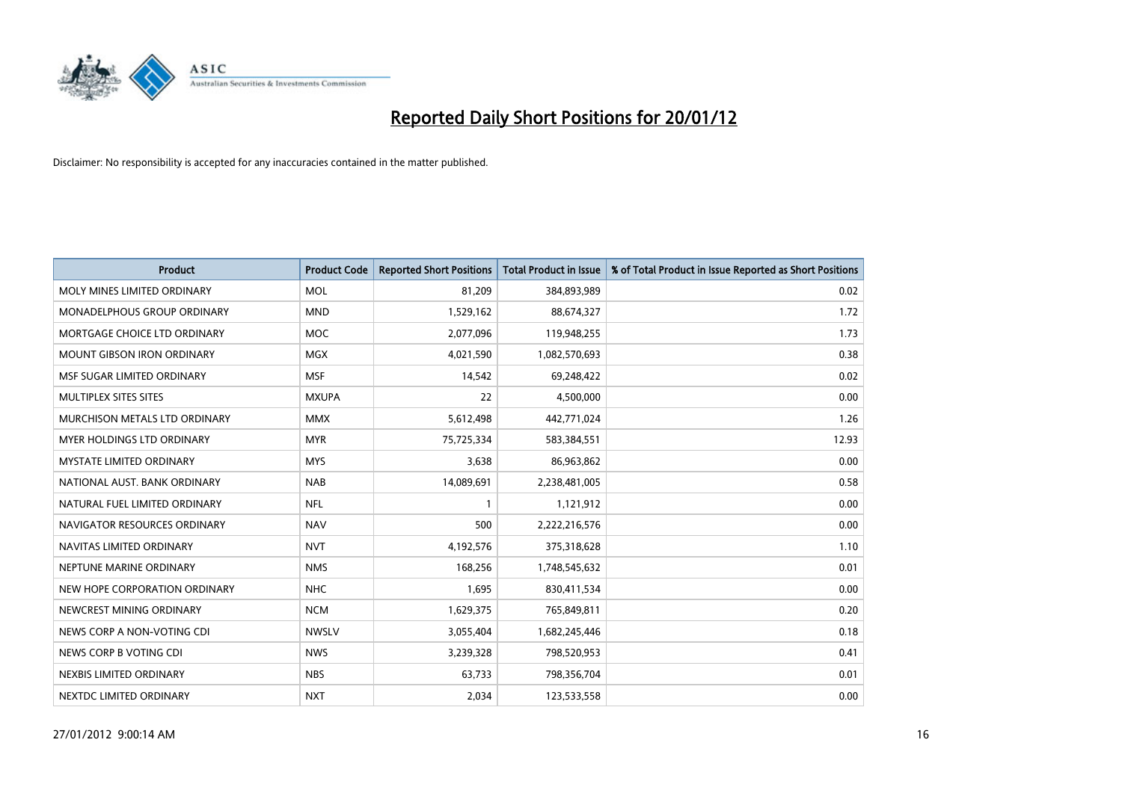

| <b>Product</b>                | <b>Product Code</b> | <b>Reported Short Positions</b> | <b>Total Product in Issue</b> | % of Total Product in Issue Reported as Short Positions |
|-------------------------------|---------------------|---------------------------------|-------------------------------|---------------------------------------------------------|
| MOLY MINES LIMITED ORDINARY   | <b>MOL</b>          | 81,209                          | 384,893,989                   | 0.02                                                    |
| MONADELPHOUS GROUP ORDINARY   | <b>MND</b>          | 1,529,162                       | 88,674,327                    | 1.72                                                    |
| MORTGAGE CHOICE LTD ORDINARY  | <b>MOC</b>          | 2,077,096                       | 119,948,255                   | 1.73                                                    |
| MOUNT GIBSON IRON ORDINARY    | <b>MGX</b>          | 4,021,590                       | 1,082,570,693                 | 0.38                                                    |
| MSF SUGAR LIMITED ORDINARY    | <b>MSF</b>          | 14,542                          | 69,248,422                    | 0.02                                                    |
| MULTIPLEX SITES SITES         | <b>MXUPA</b>        | 22                              | 4,500,000                     | 0.00                                                    |
| MURCHISON METALS LTD ORDINARY | <b>MMX</b>          | 5,612,498                       | 442,771,024                   | 1.26                                                    |
| MYER HOLDINGS LTD ORDINARY    | <b>MYR</b>          | 75,725,334                      | 583,384,551                   | 12.93                                                   |
| MYSTATE LIMITED ORDINARY      | <b>MYS</b>          | 3,638                           | 86,963,862                    | 0.00                                                    |
| NATIONAL AUST, BANK ORDINARY  | <b>NAB</b>          | 14,089,691                      | 2,238,481,005                 | 0.58                                                    |
| NATURAL FUEL LIMITED ORDINARY | <b>NFL</b>          | 1                               | 1,121,912                     | 0.00                                                    |
| NAVIGATOR RESOURCES ORDINARY  | <b>NAV</b>          | 500                             | 2,222,216,576                 | 0.00                                                    |
| NAVITAS LIMITED ORDINARY      | <b>NVT</b>          | 4,192,576                       | 375,318,628                   | 1.10                                                    |
| NEPTUNE MARINE ORDINARY       | <b>NMS</b>          | 168,256                         | 1,748,545,632                 | 0.01                                                    |
| NEW HOPE CORPORATION ORDINARY | <b>NHC</b>          | 1,695                           | 830,411,534                   | 0.00                                                    |
| NEWCREST MINING ORDINARY      | <b>NCM</b>          | 1,629,375                       | 765,849,811                   | 0.20                                                    |
| NEWS CORP A NON-VOTING CDI    | <b>NWSLV</b>        | 3,055,404                       | 1,682,245,446                 | 0.18                                                    |
| NEWS CORP B VOTING CDI        | <b>NWS</b>          | 3,239,328                       | 798,520,953                   | 0.41                                                    |
| NEXBIS LIMITED ORDINARY       | <b>NBS</b>          | 63,733                          | 798,356,704                   | 0.01                                                    |
| NEXTDC LIMITED ORDINARY       | <b>NXT</b>          | 2,034                           | 123,533,558                   | 0.00                                                    |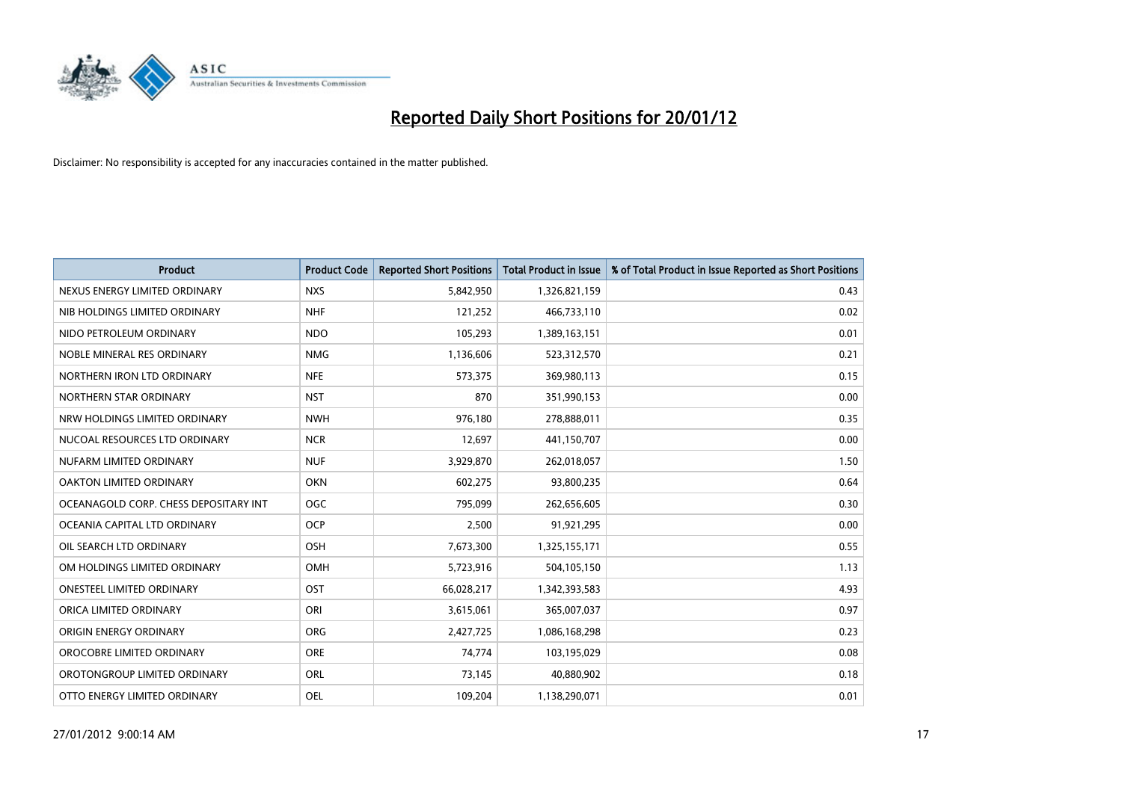

| <b>Product</b>                        | <b>Product Code</b> | <b>Reported Short Positions</b> | <b>Total Product in Issue</b> | % of Total Product in Issue Reported as Short Positions |
|---------------------------------------|---------------------|---------------------------------|-------------------------------|---------------------------------------------------------|
| NEXUS ENERGY LIMITED ORDINARY         | <b>NXS</b>          | 5,842,950                       | 1,326,821,159                 | 0.43                                                    |
| NIB HOLDINGS LIMITED ORDINARY         | <b>NHF</b>          | 121,252                         | 466,733,110                   | 0.02                                                    |
| NIDO PETROLEUM ORDINARY               | <b>NDO</b>          | 105,293                         | 1,389,163,151                 | 0.01                                                    |
| NOBLE MINERAL RES ORDINARY            | <b>NMG</b>          | 1,136,606                       | 523,312,570                   | 0.21                                                    |
| NORTHERN IRON LTD ORDINARY            | <b>NFE</b>          | 573,375                         | 369,980,113                   | 0.15                                                    |
| NORTHERN STAR ORDINARY                | <b>NST</b>          | 870                             | 351,990,153                   | 0.00                                                    |
| NRW HOLDINGS LIMITED ORDINARY         | <b>NWH</b>          | 976,180                         | 278,888,011                   | 0.35                                                    |
| NUCOAL RESOURCES LTD ORDINARY         | <b>NCR</b>          | 12,697                          | 441,150,707                   | 0.00                                                    |
| NUFARM LIMITED ORDINARY               | <b>NUF</b>          | 3,929,870                       | 262,018,057                   | 1.50                                                    |
| <b>OAKTON LIMITED ORDINARY</b>        | <b>OKN</b>          | 602,275                         | 93,800,235                    | 0.64                                                    |
| OCEANAGOLD CORP. CHESS DEPOSITARY INT | <b>OGC</b>          | 795,099                         | 262,656,605                   | 0.30                                                    |
| OCEANIA CAPITAL LTD ORDINARY          | <b>OCP</b>          | 2,500                           | 91,921,295                    | 0.00                                                    |
| OIL SEARCH LTD ORDINARY               | OSH                 | 7,673,300                       | 1,325,155,171                 | 0.55                                                    |
| OM HOLDINGS LIMITED ORDINARY          | OMH                 | 5,723,916                       | 504,105,150                   | 1.13                                                    |
| <b>ONESTEEL LIMITED ORDINARY</b>      | OST                 | 66,028,217                      | 1,342,393,583                 | 4.93                                                    |
| ORICA LIMITED ORDINARY                | ORI                 | 3,615,061                       | 365,007,037                   | 0.97                                                    |
| ORIGIN ENERGY ORDINARY                | ORG                 | 2,427,725                       | 1,086,168,298                 | 0.23                                                    |
| OROCOBRE LIMITED ORDINARY             | <b>ORE</b>          | 74,774                          | 103,195,029                   | 0.08                                                    |
| OROTONGROUP LIMITED ORDINARY          | ORL                 | 73,145                          | 40,880,902                    | 0.18                                                    |
| OTTO ENERGY LIMITED ORDINARY          | <b>OEL</b>          | 109,204                         | 1,138,290,071                 | 0.01                                                    |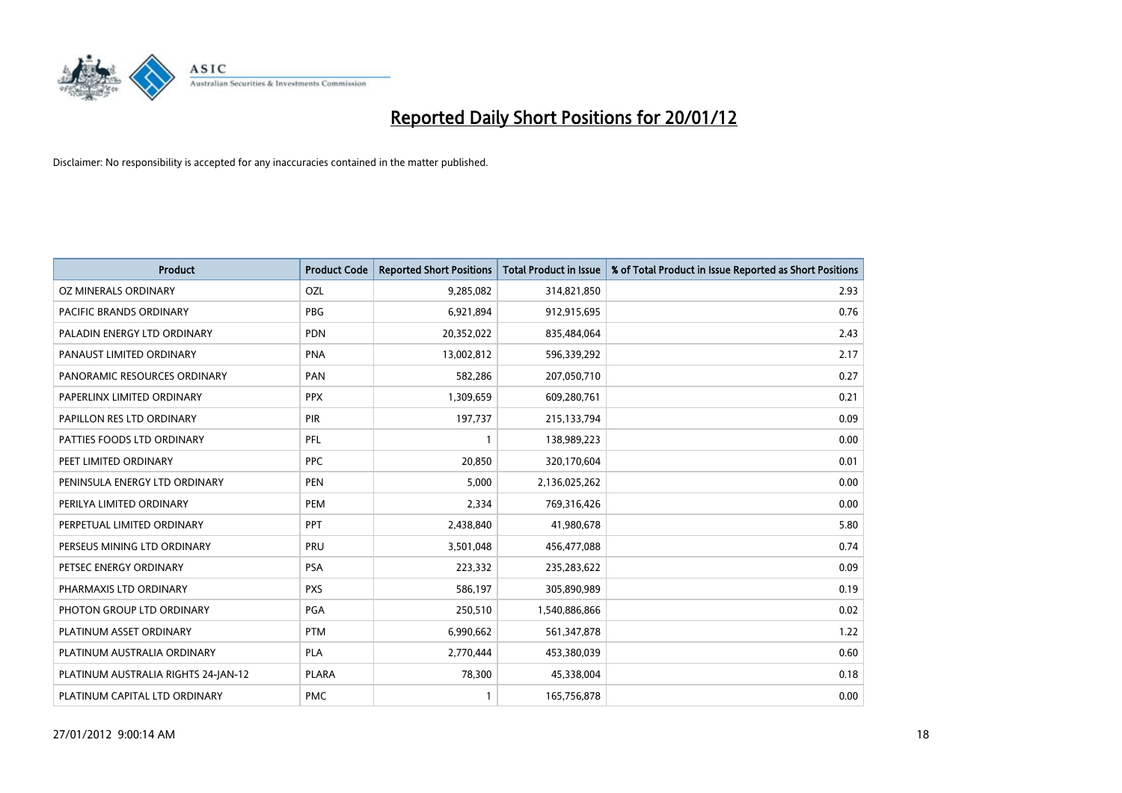

| <b>Product</b>                      | <b>Product Code</b> | <b>Reported Short Positions</b> | <b>Total Product in Issue</b> | % of Total Product in Issue Reported as Short Positions |
|-------------------------------------|---------------------|---------------------------------|-------------------------------|---------------------------------------------------------|
| OZ MINERALS ORDINARY                | OZL                 | 9,285,082                       | 314,821,850                   | 2.93                                                    |
| PACIFIC BRANDS ORDINARY             | <b>PBG</b>          | 6,921,894                       | 912,915,695                   | 0.76                                                    |
| PALADIN ENERGY LTD ORDINARY         | <b>PDN</b>          | 20,352,022                      | 835,484,064                   | 2.43                                                    |
| PANAUST LIMITED ORDINARY            | <b>PNA</b>          | 13,002,812                      | 596,339,292                   | 2.17                                                    |
| PANORAMIC RESOURCES ORDINARY        | PAN                 | 582,286                         | 207,050,710                   | 0.27                                                    |
| PAPERLINX LIMITED ORDINARY          | <b>PPX</b>          | 1,309,659                       | 609,280,761                   | 0.21                                                    |
| PAPILLON RES LTD ORDINARY           | <b>PIR</b>          | 197,737                         | 215,133,794                   | 0.09                                                    |
| PATTIES FOODS LTD ORDINARY          | PFL                 | $\mathbf{1}$                    | 138,989,223                   | 0.00                                                    |
| PEET LIMITED ORDINARY               | <b>PPC</b>          | 20,850                          | 320,170,604                   | 0.01                                                    |
| PENINSULA ENERGY LTD ORDINARY       | <b>PEN</b>          | 5,000                           | 2,136,025,262                 | 0.00                                                    |
| PERILYA LIMITED ORDINARY            | <b>PEM</b>          | 2,334                           | 769,316,426                   | 0.00                                                    |
| PERPETUAL LIMITED ORDINARY          | PPT                 | 2,438,840                       | 41,980,678                    | 5.80                                                    |
| PERSEUS MINING LTD ORDINARY         | PRU                 | 3,501,048                       | 456,477,088                   | 0.74                                                    |
| PETSEC ENERGY ORDINARY              | <b>PSA</b>          | 223,332                         | 235,283,622                   | 0.09                                                    |
| PHARMAXIS LTD ORDINARY              | <b>PXS</b>          | 586,197                         | 305,890,989                   | 0.19                                                    |
| PHOTON GROUP LTD ORDINARY           | PGA                 | 250,510                         | 1,540,886,866                 | 0.02                                                    |
| PLATINUM ASSET ORDINARY             | <b>PTM</b>          | 6,990,662                       | 561,347,878                   | 1.22                                                    |
| PLATINUM AUSTRALIA ORDINARY         | <b>PLA</b>          | 2,770,444                       | 453,380,039                   | 0.60                                                    |
| PLATINUM AUSTRALIA RIGHTS 24-JAN-12 | PLARA               | 78,300                          | 45,338,004                    | 0.18                                                    |
| PLATINUM CAPITAL LTD ORDINARY       | <b>PMC</b>          |                                 | 165,756,878                   | 0.00                                                    |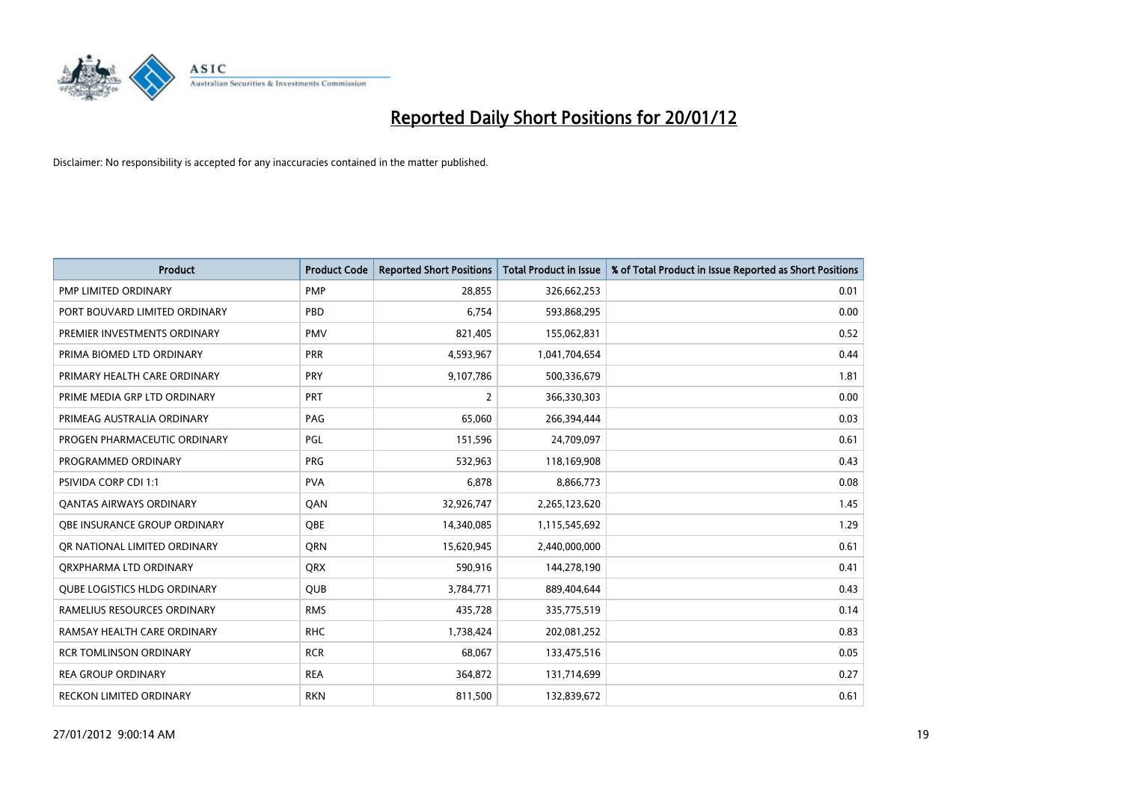

| <b>Product</b>                      | <b>Product Code</b> | <b>Reported Short Positions</b> | <b>Total Product in Issue</b> | % of Total Product in Issue Reported as Short Positions |
|-------------------------------------|---------------------|---------------------------------|-------------------------------|---------------------------------------------------------|
| <b>PMP LIMITED ORDINARY</b>         | <b>PMP</b>          | 28,855                          | 326,662,253                   | 0.01                                                    |
| PORT BOUVARD LIMITED ORDINARY       | PBD                 | 6.754                           | 593,868,295                   | 0.00                                                    |
| PREMIER INVESTMENTS ORDINARY        | <b>PMV</b>          | 821,405                         | 155,062,831                   | 0.52                                                    |
| PRIMA BIOMED LTD ORDINARY           | <b>PRR</b>          | 4,593,967                       | 1,041,704,654                 | 0.44                                                    |
| PRIMARY HEALTH CARE ORDINARY        | <b>PRY</b>          | 9,107,786                       | 500,336,679                   | 1.81                                                    |
| PRIME MEDIA GRP LTD ORDINARY        | <b>PRT</b>          | $\overline{2}$                  | 366,330,303                   | 0.00                                                    |
| PRIMEAG AUSTRALIA ORDINARY          | PAG                 | 65,060                          | 266,394,444                   | 0.03                                                    |
| PROGEN PHARMACEUTIC ORDINARY        | PGL                 | 151,596                         | 24,709,097                    | 0.61                                                    |
| PROGRAMMED ORDINARY                 | <b>PRG</b>          | 532,963                         | 118,169,908                   | 0.43                                                    |
| PSIVIDA CORP CDI 1:1                | <b>PVA</b>          | 6,878                           | 8,866,773                     | 0.08                                                    |
| <b>QANTAS AIRWAYS ORDINARY</b>      | QAN                 | 32,926,747                      | 2,265,123,620                 | 1.45                                                    |
| OBE INSURANCE GROUP ORDINARY        | <b>OBE</b>          | 14,340,085                      | 1,115,545,692                 | 1.29                                                    |
| OR NATIONAL LIMITED ORDINARY        | <b>ORN</b>          | 15,620,945                      | 2,440,000,000                 | 0.61                                                    |
| ORXPHARMA LTD ORDINARY              | QRX                 | 590,916                         | 144,278,190                   | 0.41                                                    |
| <b>QUBE LOGISTICS HLDG ORDINARY</b> | <b>QUB</b>          | 3,784,771                       | 889,404,644                   | 0.43                                                    |
| RAMELIUS RESOURCES ORDINARY         | <b>RMS</b>          | 435,728                         | 335,775,519                   | 0.14                                                    |
| RAMSAY HEALTH CARE ORDINARY         | <b>RHC</b>          | 1,738,424                       | 202,081,252                   | 0.83                                                    |
| <b>RCR TOMLINSON ORDINARY</b>       | <b>RCR</b>          | 68,067                          | 133,475,516                   | 0.05                                                    |
| <b>REA GROUP ORDINARY</b>           | <b>REA</b>          | 364,872                         | 131,714,699                   | 0.27                                                    |
| RECKON LIMITED ORDINARY             | <b>RKN</b>          | 811,500                         | 132,839,672                   | 0.61                                                    |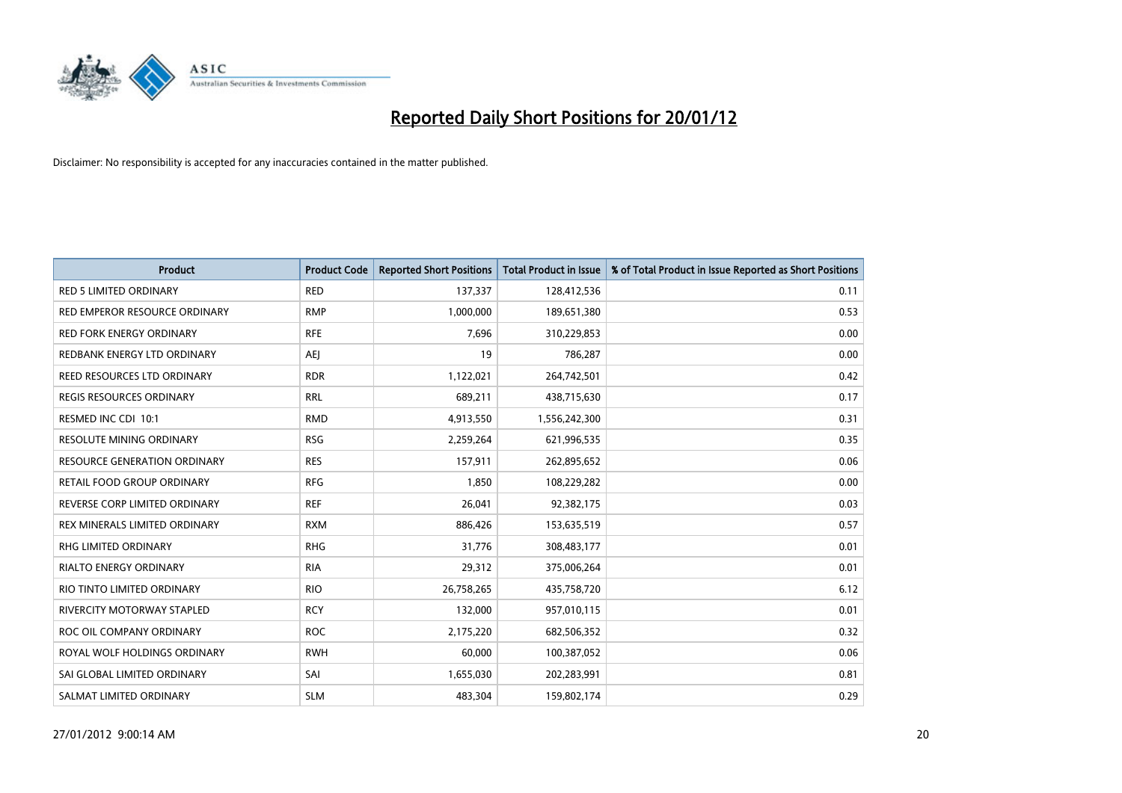

| <b>Product</b>                      | <b>Product Code</b> | <b>Reported Short Positions</b> | <b>Total Product in Issue</b> | % of Total Product in Issue Reported as Short Positions |
|-------------------------------------|---------------------|---------------------------------|-------------------------------|---------------------------------------------------------|
| RED 5 LIMITED ORDINARY              | <b>RED</b>          | 137,337                         | 128,412,536                   | 0.11                                                    |
| RED EMPEROR RESOURCE ORDINARY       | <b>RMP</b>          | 1,000,000                       | 189,651,380                   | 0.53                                                    |
| <b>RED FORK ENERGY ORDINARY</b>     | <b>RFE</b>          | 7,696                           | 310,229,853                   | 0.00                                                    |
| REDBANK ENERGY LTD ORDINARY         | <b>AEI</b>          | 19                              | 786,287                       | 0.00                                                    |
| REED RESOURCES LTD ORDINARY         | <b>RDR</b>          | 1,122,021                       | 264,742,501                   | 0.42                                                    |
| <b>REGIS RESOURCES ORDINARY</b>     | <b>RRL</b>          | 689,211                         | 438,715,630                   | 0.17                                                    |
| RESMED INC CDI 10:1                 | <b>RMD</b>          | 4,913,550                       | 1,556,242,300                 | 0.31                                                    |
| RESOLUTE MINING ORDINARY            | <b>RSG</b>          | 2,259,264                       | 621,996,535                   | 0.35                                                    |
| <b>RESOURCE GENERATION ORDINARY</b> | <b>RES</b>          | 157,911                         | 262,895,652                   | 0.06                                                    |
| <b>RETAIL FOOD GROUP ORDINARY</b>   | <b>RFG</b>          | 1,850                           | 108,229,282                   | 0.00                                                    |
| REVERSE CORP LIMITED ORDINARY       | <b>REF</b>          | 26,041                          | 92,382,175                    | 0.03                                                    |
| REX MINERALS LIMITED ORDINARY       | <b>RXM</b>          | 886,426                         | 153,635,519                   | 0.57                                                    |
| RHG LIMITED ORDINARY                | <b>RHG</b>          | 31,776                          | 308,483,177                   | 0.01                                                    |
| <b>RIALTO ENERGY ORDINARY</b>       | <b>RIA</b>          | 29,312                          | 375,006,264                   | 0.01                                                    |
| RIO TINTO LIMITED ORDINARY          | <b>RIO</b>          | 26,758,265                      | 435,758,720                   | 6.12                                                    |
| RIVERCITY MOTORWAY STAPLED          | <b>RCY</b>          | 132,000                         | 957,010,115                   | 0.01                                                    |
| ROC OIL COMPANY ORDINARY            | <b>ROC</b>          | 2,175,220                       | 682,506,352                   | 0.32                                                    |
| ROYAL WOLF HOLDINGS ORDINARY        | <b>RWH</b>          | 60,000                          | 100,387,052                   | 0.06                                                    |
| SAI GLOBAL LIMITED ORDINARY         | SAI                 | 1,655,030                       | 202,283,991                   | 0.81                                                    |
| SALMAT LIMITED ORDINARY             | <b>SLM</b>          | 483,304                         | 159,802,174                   | 0.29                                                    |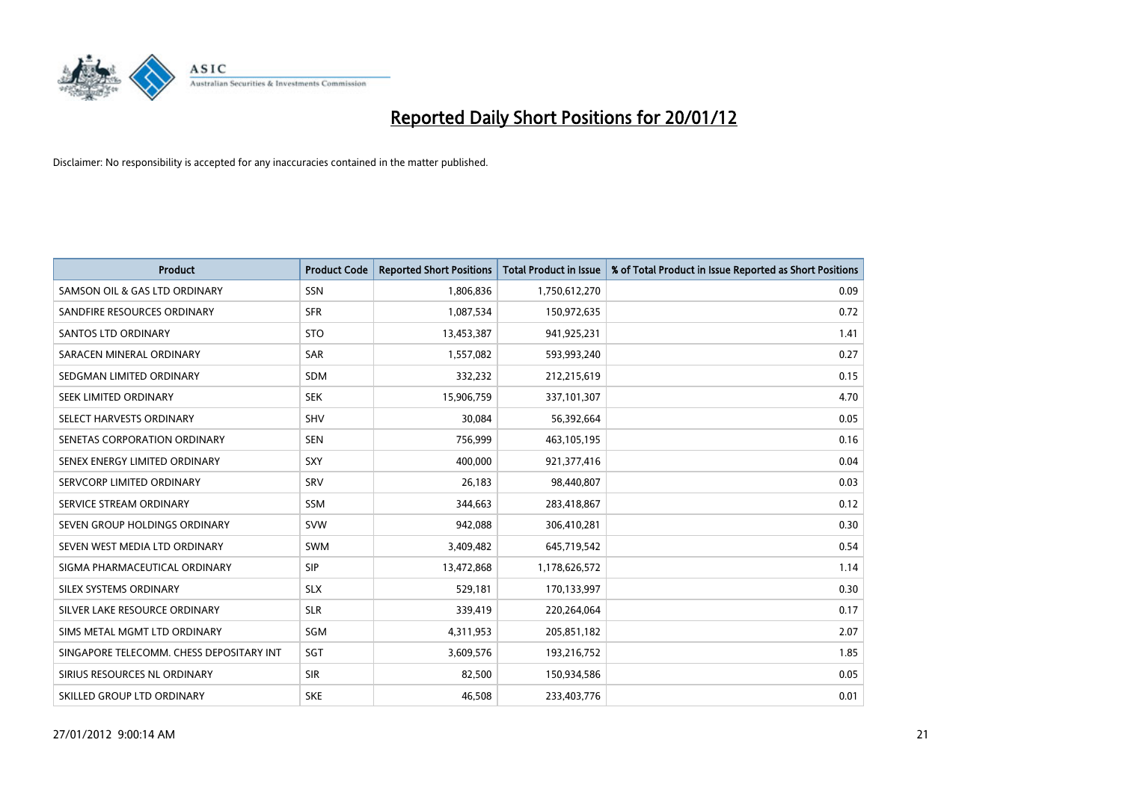

| <b>Product</b>                           | <b>Product Code</b> | <b>Reported Short Positions</b> | <b>Total Product in Issue</b> | % of Total Product in Issue Reported as Short Positions |
|------------------------------------------|---------------------|---------------------------------|-------------------------------|---------------------------------------------------------|
| SAMSON OIL & GAS LTD ORDINARY            | SSN                 | 1,806,836                       | 1,750,612,270                 | 0.09                                                    |
| SANDFIRE RESOURCES ORDINARY              | <b>SFR</b>          | 1,087,534                       | 150,972,635                   | 0.72                                                    |
| <b>SANTOS LTD ORDINARY</b>               | <b>STO</b>          | 13,453,387                      | 941,925,231                   | 1.41                                                    |
| SARACEN MINERAL ORDINARY                 | <b>SAR</b>          | 1,557,082                       | 593,993,240                   | 0.27                                                    |
| SEDGMAN LIMITED ORDINARY                 | <b>SDM</b>          | 332,232                         | 212,215,619                   | 0.15                                                    |
| SEEK LIMITED ORDINARY                    | <b>SEK</b>          | 15,906,759                      | 337,101,307                   | 4.70                                                    |
| SELECT HARVESTS ORDINARY                 | <b>SHV</b>          | 30,084                          | 56,392,664                    | 0.05                                                    |
| SENETAS CORPORATION ORDINARY             | <b>SEN</b>          | 756,999                         | 463,105,195                   | 0.16                                                    |
| SENEX ENERGY LIMITED ORDINARY            | SXY                 | 400,000                         | 921,377,416                   | 0.04                                                    |
| SERVCORP LIMITED ORDINARY                | SRV                 | 26,183                          | 98,440,807                    | 0.03                                                    |
| SERVICE STREAM ORDINARY                  | <b>SSM</b>          | 344,663                         | 283,418,867                   | 0.12                                                    |
| SEVEN GROUP HOLDINGS ORDINARY            | <b>SVW</b>          | 942,088                         | 306,410,281                   | 0.30                                                    |
| SEVEN WEST MEDIA LTD ORDINARY            | <b>SWM</b>          | 3,409,482                       | 645,719,542                   | 0.54                                                    |
| SIGMA PHARMACEUTICAL ORDINARY            | <b>SIP</b>          | 13,472,868                      | 1,178,626,572                 | 1.14                                                    |
| SILEX SYSTEMS ORDINARY                   | <b>SLX</b>          | 529,181                         | 170,133,997                   | 0.30                                                    |
| SILVER LAKE RESOURCE ORDINARY            | <b>SLR</b>          | 339,419                         | 220,264,064                   | 0.17                                                    |
| SIMS METAL MGMT LTD ORDINARY             | SGM                 | 4,311,953                       | 205,851,182                   | 2.07                                                    |
| SINGAPORE TELECOMM. CHESS DEPOSITARY INT | SGT                 | 3,609,576                       | 193,216,752                   | 1.85                                                    |
| SIRIUS RESOURCES NL ORDINARY             | <b>SIR</b>          | 82,500                          | 150,934,586                   | 0.05                                                    |
| SKILLED GROUP LTD ORDINARY               | <b>SKE</b>          | 46,508                          | 233,403,776                   | 0.01                                                    |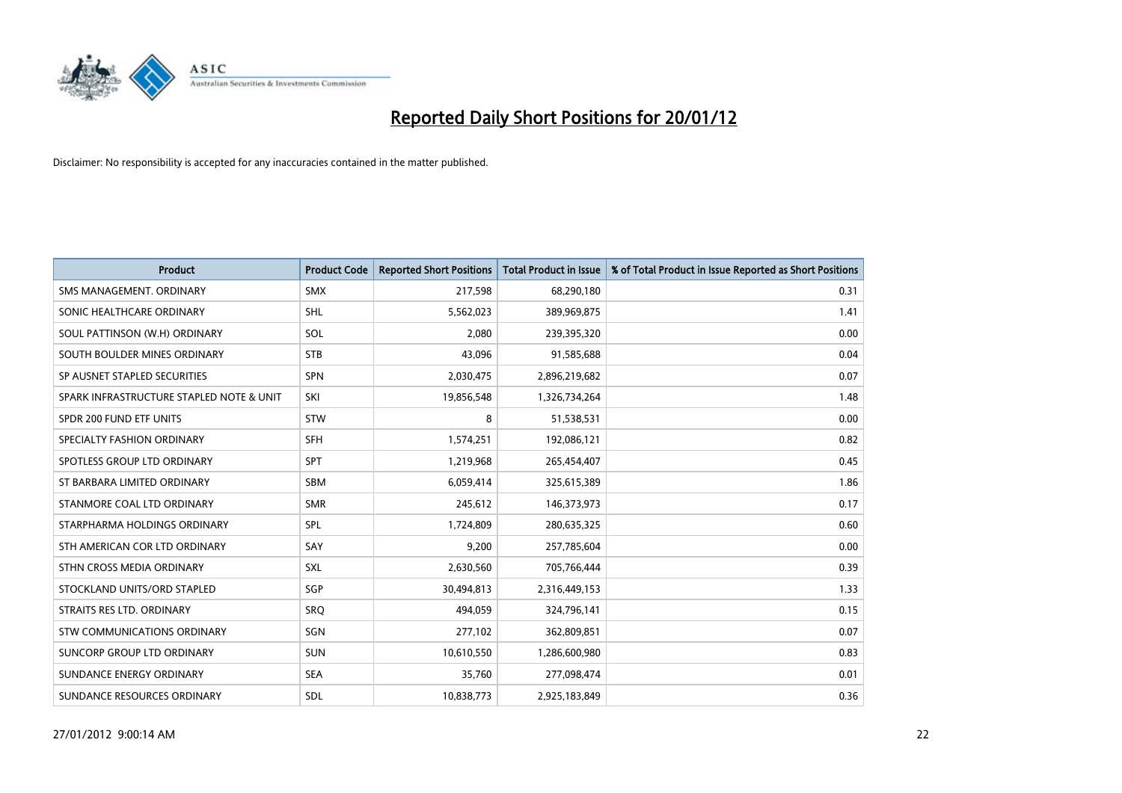

| <b>Product</b>                           | <b>Product Code</b> | <b>Reported Short Positions</b> | <b>Total Product in Issue</b> | % of Total Product in Issue Reported as Short Positions |
|------------------------------------------|---------------------|---------------------------------|-------------------------------|---------------------------------------------------------|
| SMS MANAGEMENT, ORDINARY                 | <b>SMX</b>          | 217,598                         | 68,290,180                    | 0.31                                                    |
| SONIC HEALTHCARE ORDINARY                | <b>SHL</b>          | 5,562,023                       | 389,969,875                   | 1.41                                                    |
| SOUL PATTINSON (W.H) ORDINARY            | SOL                 | 2,080                           | 239,395,320                   | 0.00                                                    |
| SOUTH BOULDER MINES ORDINARY             | <b>STB</b>          | 43.096                          | 91,585,688                    | 0.04                                                    |
| SP AUSNET STAPLED SECURITIES             | <b>SPN</b>          | 2,030,475                       | 2,896,219,682                 | 0.07                                                    |
| SPARK INFRASTRUCTURE STAPLED NOTE & UNIT | SKI                 | 19,856,548                      | 1,326,734,264                 | 1.48                                                    |
| SPDR 200 FUND ETF UNITS                  | <b>STW</b>          | 8                               | 51,538,531                    | 0.00                                                    |
| SPECIALTY FASHION ORDINARY               | <b>SFH</b>          | 1,574,251                       | 192,086,121                   | 0.82                                                    |
| SPOTLESS GROUP LTD ORDINARY              | <b>SPT</b>          | 1,219,968                       | 265,454,407                   | 0.45                                                    |
| ST BARBARA LIMITED ORDINARY              | SBM                 | 6,059,414                       | 325,615,389                   | 1.86                                                    |
| STANMORE COAL LTD ORDINARY               | <b>SMR</b>          | 245,612                         | 146,373,973                   | 0.17                                                    |
| STARPHARMA HOLDINGS ORDINARY             | <b>SPL</b>          | 1,724,809                       | 280,635,325                   | 0.60                                                    |
| STH AMERICAN COR LTD ORDINARY            | SAY                 | 9,200                           | 257,785,604                   | 0.00                                                    |
| STHN CROSS MEDIA ORDINARY                | <b>SXL</b>          | 2,630,560                       | 705,766,444                   | 0.39                                                    |
| STOCKLAND UNITS/ORD STAPLED              | SGP                 | 30,494,813                      | 2,316,449,153                 | 1.33                                                    |
| STRAITS RES LTD. ORDINARY                | <b>SRO</b>          | 494,059                         | 324,796,141                   | 0.15                                                    |
| STW COMMUNICATIONS ORDINARY              | SGN                 | 277,102                         | 362,809,851                   | 0.07                                                    |
| <b>SUNCORP GROUP LTD ORDINARY</b>        | <b>SUN</b>          | 10,610,550                      | 1,286,600,980                 | 0.83                                                    |
| SUNDANCE ENERGY ORDINARY                 | <b>SEA</b>          | 35,760                          | 277,098,474                   | 0.01                                                    |
| SUNDANCE RESOURCES ORDINARY              | SDL                 | 10,838,773                      | 2,925,183,849                 | 0.36                                                    |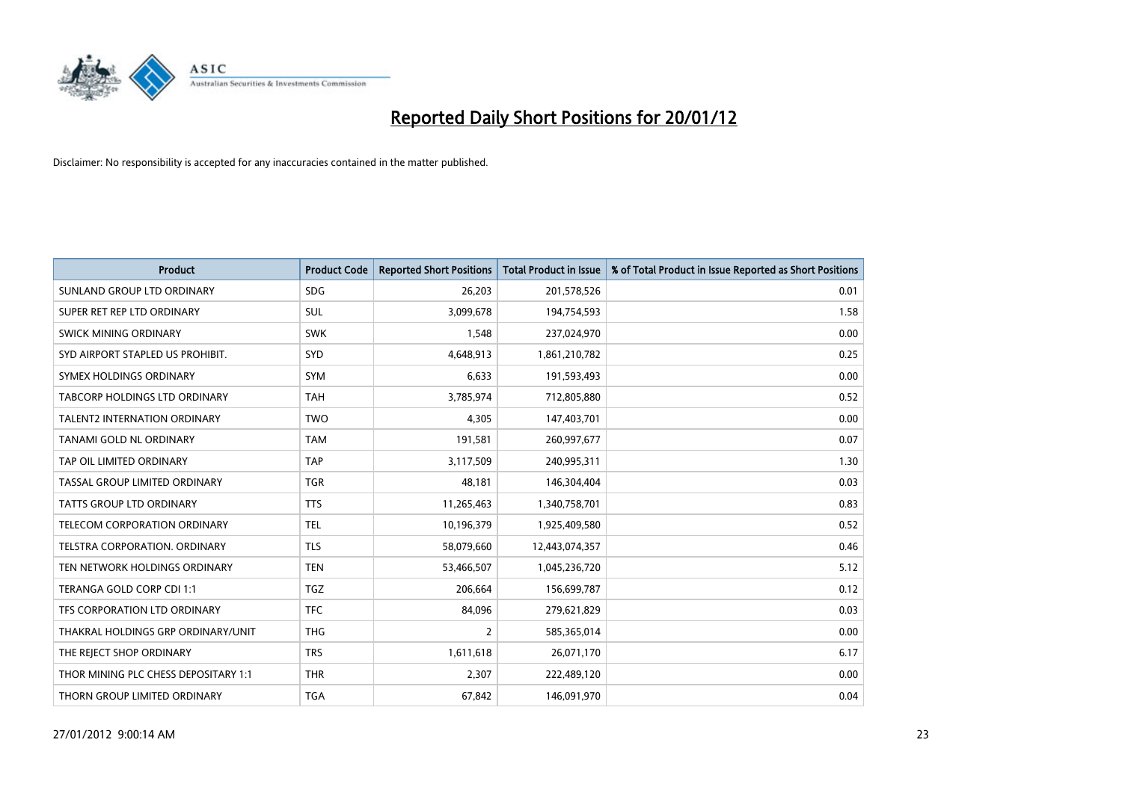

| <b>Product</b>                       | <b>Product Code</b> | <b>Reported Short Positions</b> | <b>Total Product in Issue</b> | % of Total Product in Issue Reported as Short Positions |
|--------------------------------------|---------------------|---------------------------------|-------------------------------|---------------------------------------------------------|
| SUNLAND GROUP LTD ORDINARY           | <b>SDG</b>          | 26,203                          | 201,578,526                   | 0.01                                                    |
| SUPER RET REP LTD ORDINARY           | SUL                 | 3,099,678                       | 194,754,593                   | 1.58                                                    |
| <b>SWICK MINING ORDINARY</b>         | <b>SWK</b>          | 1,548                           | 237,024,970                   | 0.00                                                    |
| SYD AIRPORT STAPLED US PROHIBIT.     | <b>SYD</b>          | 4,648,913                       | 1,861,210,782                 | 0.25                                                    |
| SYMEX HOLDINGS ORDINARY              | <b>SYM</b>          | 6,633                           | 191,593,493                   | 0.00                                                    |
| <b>TABCORP HOLDINGS LTD ORDINARY</b> | <b>TAH</b>          | 3,785,974                       | 712,805,880                   | 0.52                                                    |
| <b>TALENT2 INTERNATION ORDINARY</b>  | <b>TWO</b>          | 4,305                           | 147,403,701                   | 0.00                                                    |
| TANAMI GOLD NL ORDINARY              | <b>TAM</b>          | 191,581                         | 260,997,677                   | 0.07                                                    |
| TAP OIL LIMITED ORDINARY             | <b>TAP</b>          | 3,117,509                       | 240,995,311                   | 1.30                                                    |
| TASSAL GROUP LIMITED ORDINARY        | <b>TGR</b>          | 48,181                          | 146,304,404                   | 0.03                                                    |
| TATTS GROUP LTD ORDINARY             | <b>TTS</b>          | 11,265,463                      | 1,340,758,701                 | 0.83                                                    |
| <b>TELECOM CORPORATION ORDINARY</b>  | <b>TEL</b>          | 10,196,379                      | 1,925,409,580                 | 0.52                                                    |
| TELSTRA CORPORATION. ORDINARY        | <b>TLS</b>          | 58,079,660                      | 12,443,074,357                | 0.46                                                    |
| TEN NETWORK HOLDINGS ORDINARY        | <b>TEN</b>          | 53,466,507                      | 1,045,236,720                 | 5.12                                                    |
| TERANGA GOLD CORP CDI 1:1            | <b>TGZ</b>          | 206,664                         | 156,699,787                   | 0.12                                                    |
| TFS CORPORATION LTD ORDINARY         | <b>TFC</b>          | 84,096                          | 279,621,829                   | 0.03                                                    |
| THAKRAL HOLDINGS GRP ORDINARY/UNIT   | <b>THG</b>          | $\overline{2}$                  | 585,365,014                   | 0.00                                                    |
| THE REJECT SHOP ORDINARY             | <b>TRS</b>          | 1,611,618                       | 26,071,170                    | 6.17                                                    |
| THOR MINING PLC CHESS DEPOSITARY 1:1 | <b>THR</b>          | 2,307                           | 222,489,120                   | 0.00                                                    |
| THORN GROUP LIMITED ORDINARY         | <b>TGA</b>          | 67,842                          | 146,091,970                   | 0.04                                                    |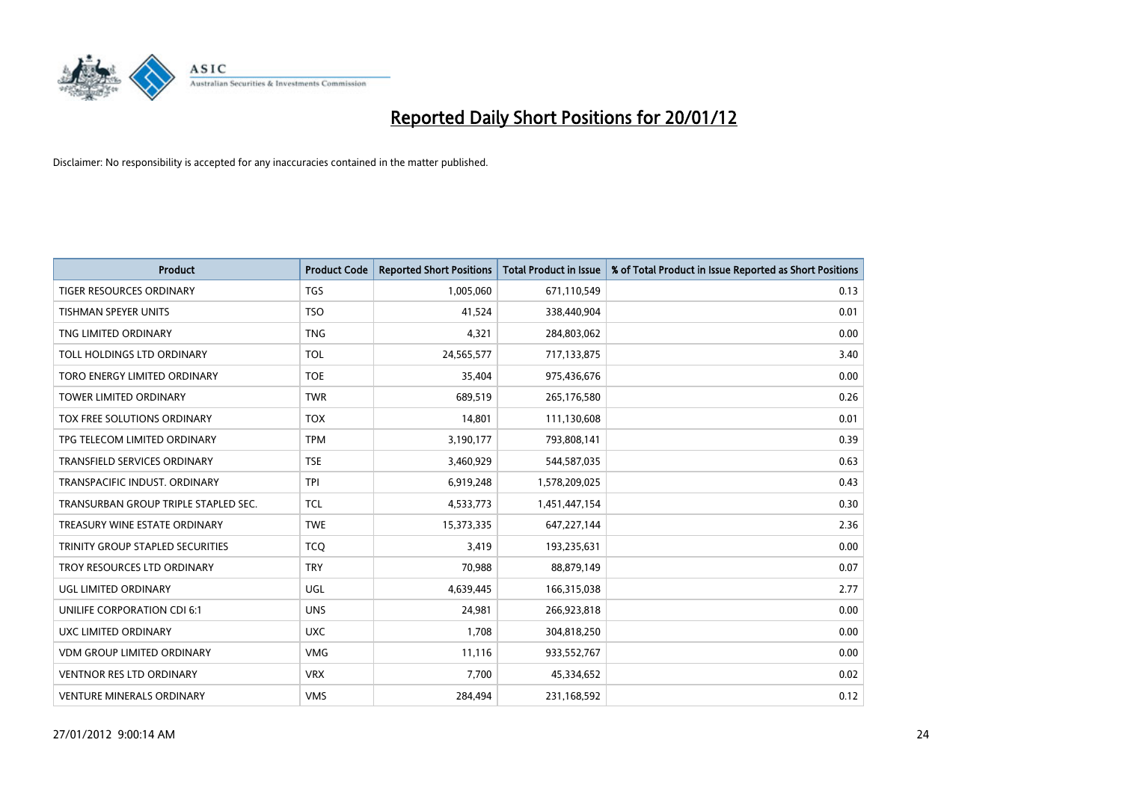

| <b>Product</b>                       | <b>Product Code</b> | <b>Reported Short Positions</b> | <b>Total Product in Issue</b> | % of Total Product in Issue Reported as Short Positions |
|--------------------------------------|---------------------|---------------------------------|-------------------------------|---------------------------------------------------------|
| <b>TIGER RESOURCES ORDINARY</b>      | <b>TGS</b>          | 1,005,060                       | 671,110,549                   | 0.13                                                    |
| TISHMAN SPEYER UNITS                 | <b>TSO</b>          | 41,524                          | 338,440,904                   | 0.01                                                    |
| TNG LIMITED ORDINARY                 | <b>TNG</b>          | 4,321                           | 284,803,062                   | 0.00                                                    |
| TOLL HOLDINGS LTD ORDINARY           | <b>TOL</b>          | 24,565,577                      | 717,133,875                   | 3.40                                                    |
| TORO ENERGY LIMITED ORDINARY         | <b>TOE</b>          | 35,404                          | 975,436,676                   | 0.00                                                    |
| <b>TOWER LIMITED ORDINARY</b>        | <b>TWR</b>          | 689,519                         | 265,176,580                   | 0.26                                                    |
| TOX FREE SOLUTIONS ORDINARY          | <b>TOX</b>          | 14,801                          | 111,130,608                   | 0.01                                                    |
| TPG TELECOM LIMITED ORDINARY         | <b>TPM</b>          | 3,190,177                       | 793,808,141                   | 0.39                                                    |
| <b>TRANSFIELD SERVICES ORDINARY</b>  | <b>TSE</b>          | 3,460,929                       | 544,587,035                   | 0.63                                                    |
| TRANSPACIFIC INDUST, ORDINARY        | <b>TPI</b>          | 6,919,248                       | 1,578,209,025                 | 0.43                                                    |
| TRANSURBAN GROUP TRIPLE STAPLED SEC. | <b>TCL</b>          | 4,533,773                       | 1,451,447,154                 | 0.30                                                    |
| TREASURY WINE ESTATE ORDINARY        | <b>TWE</b>          | 15,373,335                      | 647,227,144                   | 2.36                                                    |
| TRINITY GROUP STAPLED SECURITIES     | <b>TCO</b>          | 3,419                           | 193,235,631                   | 0.00                                                    |
| TROY RESOURCES LTD ORDINARY          | <b>TRY</b>          | 70,988                          | 88,879,149                    | 0.07                                                    |
| <b>UGL LIMITED ORDINARY</b>          | UGL                 | 4,639,445                       | 166,315,038                   | 2.77                                                    |
| UNILIFE CORPORATION CDI 6:1          | <b>UNS</b>          | 24,981                          | 266,923,818                   | 0.00                                                    |
| UXC LIMITED ORDINARY                 | <b>UXC</b>          | 1,708                           | 304,818,250                   | 0.00                                                    |
| <b>VDM GROUP LIMITED ORDINARY</b>    | <b>VMG</b>          | 11,116                          | 933,552,767                   | 0.00                                                    |
| <b>VENTNOR RES LTD ORDINARY</b>      | <b>VRX</b>          | 7,700                           | 45,334,652                    | 0.02                                                    |
| <b>VENTURE MINERALS ORDINARY</b>     | <b>VMS</b>          | 284,494                         | 231,168,592                   | 0.12                                                    |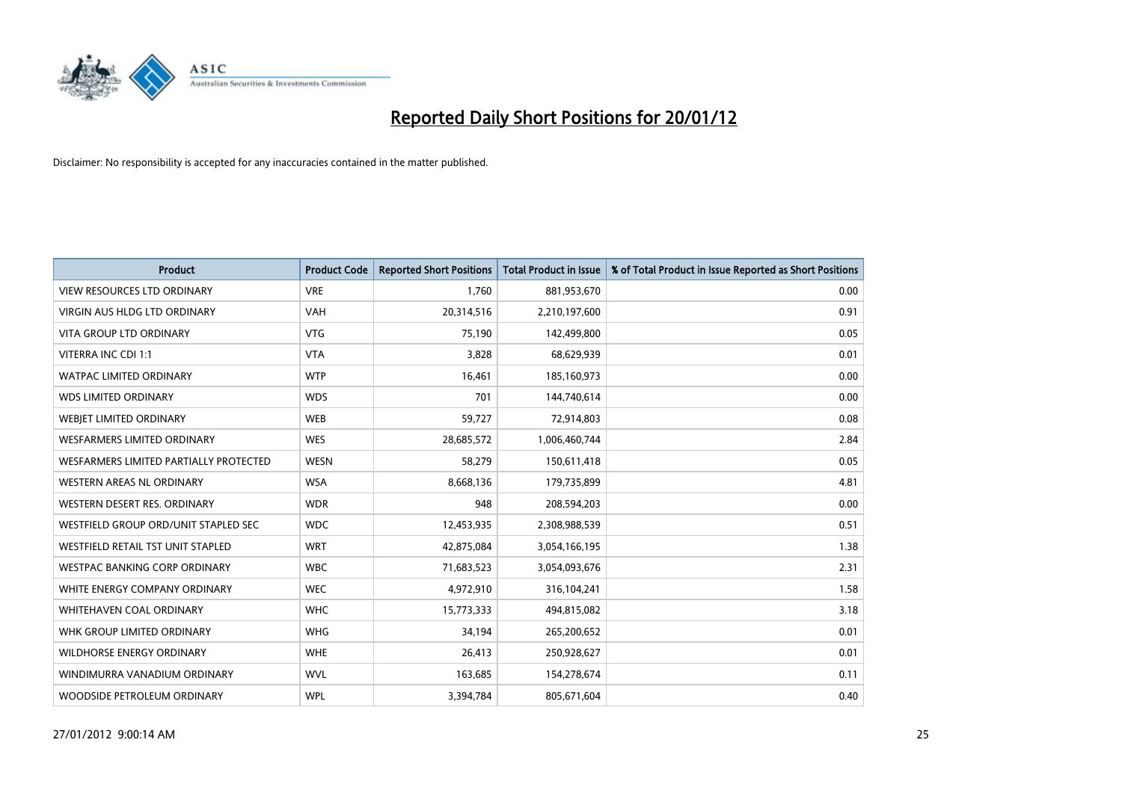

| <b>Product</b>                         | <b>Product Code</b> | <b>Reported Short Positions</b> | <b>Total Product in Issue</b> | % of Total Product in Issue Reported as Short Positions |
|----------------------------------------|---------------------|---------------------------------|-------------------------------|---------------------------------------------------------|
| <b>VIEW RESOURCES LTD ORDINARY</b>     | <b>VRE</b>          | 1,760                           | 881,953,670                   | 0.00                                                    |
| <b>VIRGIN AUS HLDG LTD ORDINARY</b>    | <b>VAH</b>          | 20,314,516                      | 2,210,197,600                 | 0.91                                                    |
| <b>VITA GROUP LTD ORDINARY</b>         | <b>VTG</b>          | 75,190                          | 142,499,800                   | 0.05                                                    |
| VITERRA INC CDI 1:1                    | <b>VTA</b>          | 3,828                           | 68,629,939                    | 0.01                                                    |
| <b>WATPAC LIMITED ORDINARY</b>         | <b>WTP</b>          | 16,461                          | 185,160,973                   | 0.00                                                    |
| <b>WDS LIMITED ORDINARY</b>            | <b>WDS</b>          | 701                             | 144,740,614                   | 0.00                                                    |
| WEBIET LIMITED ORDINARY                | <b>WEB</b>          | 59,727                          | 72,914,803                    | 0.08                                                    |
| <b>WESFARMERS LIMITED ORDINARY</b>     | <b>WES</b>          | 28,685,572                      | 1,006,460,744                 | 2.84                                                    |
| WESFARMERS LIMITED PARTIALLY PROTECTED | <b>WESN</b>         | 58,279                          | 150,611,418                   | 0.05                                                    |
| <b>WESTERN AREAS NL ORDINARY</b>       | <b>WSA</b>          | 8,668,136                       | 179,735,899                   | 4.81                                                    |
| WESTERN DESERT RES. ORDINARY           | <b>WDR</b>          | 948                             | 208,594,203                   | 0.00                                                    |
| WESTFIELD GROUP ORD/UNIT STAPLED SEC   | <b>WDC</b>          | 12,453,935                      | 2,308,988,539                 | 0.51                                                    |
| WESTFIELD RETAIL TST UNIT STAPLED      | <b>WRT</b>          | 42,875,084                      | 3,054,166,195                 | 1.38                                                    |
| <b>WESTPAC BANKING CORP ORDINARY</b>   | <b>WBC</b>          | 71,683,523                      | 3,054,093,676                 | 2.31                                                    |
| WHITE ENERGY COMPANY ORDINARY          | <b>WEC</b>          | 4,972,910                       | 316,104,241                   | 1.58                                                    |
| <b>WHITEHAVEN COAL ORDINARY</b>        | <b>WHC</b>          | 15,773,333                      | 494,815,082                   | 3.18                                                    |
| WHK GROUP LIMITED ORDINARY             | <b>WHG</b>          | 34,194                          | 265,200,652                   | 0.01                                                    |
| <b>WILDHORSE ENERGY ORDINARY</b>       | <b>WHE</b>          | 26,413                          | 250,928,627                   | 0.01                                                    |
| WINDIMURRA VANADIUM ORDINARY           | <b>WVL</b>          | 163,685                         | 154,278,674                   | 0.11                                                    |
| WOODSIDE PETROLEUM ORDINARY            | <b>WPL</b>          | 3,394,784                       | 805,671,604                   | 0.40                                                    |